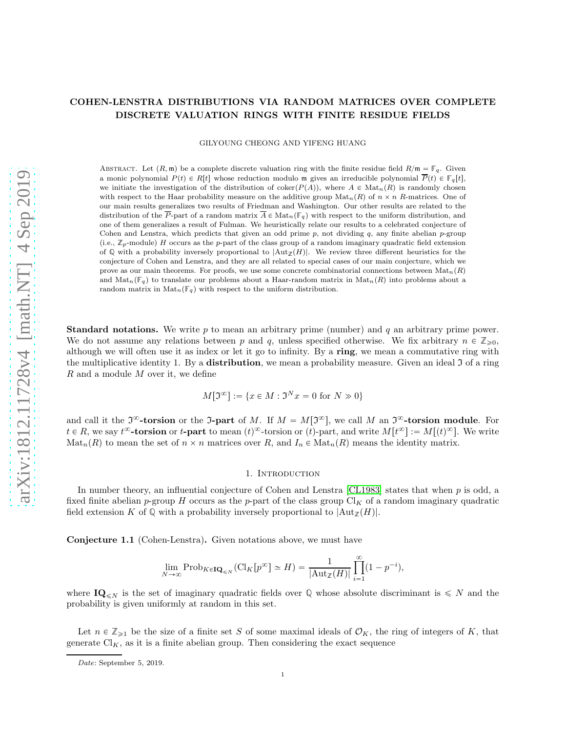# COHEN-LENSTRA DISTRIBUTIONS VIA RANDOM MATRICES OVER COMPLETE DISCRETE VALUATION RINGS WITH FINITE RESIDUE FIELDS

GILYOUNG CHEONG AND YIFENG HUANG

ABSTRACT. Let  $(R, \mathfrak{m})$  be a complete discrete valuation ring with the finite residue field  $R/\mathfrak{m} = \mathbb{F}_q$ . Given a monic polynomial  $P(t) \in R[t]$  whose reduction modulo m gives an irreducible polynomial  $\overline{P}(t) \in \mathbb{F}_q[t]$ , we initiate the investigation of the distribution of coker $(P(A))$ , where  $A \in Mat_n(R)$  is randomly chosen with respect to the Haar probability measure on the additive group  $\text{Mat}_n(R)$  of  $n \times n$  R-matrices. One of our main results generalizes two results of Friedman and Washington. Our other results are related to the distribution of the  $\overline{P}$ -part of a random matrix  $\overline{A} \in Mat_n(\mathbb{F}_q)$  with respect to the uniform distribution, and one of them generalizes a result of Fulman. We heuristically relate our results to a celebrated conjecture of Cohen and Lenstra, which predicts that given an odd prime  $p$ , not dividing  $q$ , any finite abelian  $p$ -group (i.e.,  $\mathbb{Z}_p$ -module) H occurs as the p-part of the class group of a random imaginary quadratic field extension of Q with a probability inversely proportional to  $|\text{Aut}_{\mathbb{Z}}(H)|$ . We review three different heuristics for the conjecture of Cohen and Lenstra, and they are all related to special cases of our main conjecture, which we prove as our main theorems. For proofs, we use some concrete combinatorial connections between  $\text{Mat}_n(R)$ and  $\text{Mat}_n(\mathbb{F}_q)$  to translate our problems about a Haar-random matrix in  $\text{Mat}_n(R)$  into problems about a random matrix in  $\text{Mat}_n(\mathbb{F}_q)$  with respect to the uniform distribution.

**Standard notations.** We write  $p$  to mean an arbitrary prime (number) and  $q$  an arbitrary prime power. We do not assume any relations between p and q, unless specified otherwise. We fix arbitrary  $n \in \mathbb{Z}_{\geq 0}$ , although we will often use it as index or let it go to infinity. By a ring, we mean a commutative ring with the multiplicative identity 1. By a **distribution**, we mean a probability measure. Given an ideal  $\mathfrak{I}$  of a ring R and a module M over it, we define

$$
M[\mathfrak{I}^{\infty}] := \{ x \in M : \mathfrak{I}^N x = 0 \text{ for } N \gg 0 \}
$$

and call it the  $\mathfrak{I}^{\infty}$ -torsion or the J-part of M. If  $M = M[\mathfrak{I}^{\infty}]$ , we call M an  $\mathfrak{I}^{\infty}$ -torsion module. For  $t \in R$ , we say  $t^{\infty}$ -torsion or  $t$ -part to mean  $(t)^{\infty}$ -torsion or  $(t)$ -part, and write  $M[t^{\infty}] := M[(t)^{\infty}]$ . We write  $\text{Mat}_n(R)$  to mean the set of  $n \times n$  matrices over R, and  $I_n \in \text{Mat}_n(R)$  means the identity matrix.

# 1. INTRODUCTION

In number theory, an influential conjecture of Cohen and Lenstra [\[CL1983\]](#page-22-0) states that when p is odd, a fixed finite abelian p-group H occurs as the p-part of the class group  $\mathrm{Cl}_K$  of a random imaginary quadratic field extension K of Q with a probability inversely proportional to  $|\text{Aut}_{\mathbb{Z}}(H)|$ .

<span id="page-0-0"></span>Conjecture 1.1 (Cohen-Lenstra). Given notations above, we must have

$$
\lim_{N \to \infty} \operatorname{Prob}_{K \in \mathbf{IQ}_{\leq N}}(\mathrm{Cl}_K[p^{\infty}] \simeq H) = \frac{1}{|\mathrm{Aut}_{\mathbb{Z}}(H)|} \prod_{i=1}^{\infty} (1 - p^{-i}),
$$

where  $\mathbf{IQ}_{\leq N}$  is the set of imaginary quadratic fields over Q whose absolute discriminant is  $\leq N$  and the probability is given uniformly at random in this set.

Let  $n \in \mathbb{Z}_{\geqslant 1}$  be the size of a finite set S of some maximal ideals of  $\mathcal{O}_K$ , the ring of integers of K, that generate  $\mathrm{Cl}_K$ , as it is a finite abelian group. Then considering the exact sequence

Date: September 5, 2019.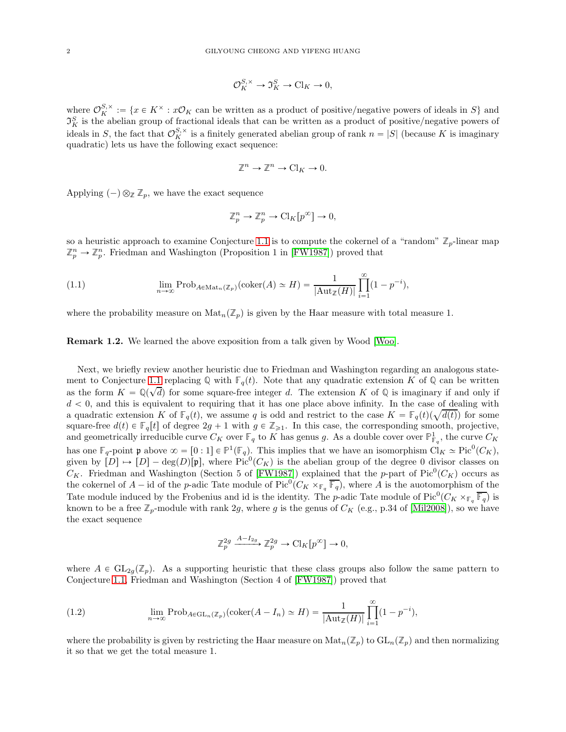$$
\mathcal{O}_K^{S,\times} \to \mathfrak{I}_K^S \to \mathrm{Cl}_K \to 0,
$$

where  $\mathcal{O}_{K}^{S,\times} := \{x \in K^{\times} : x\mathcal{O}_{K}$  can be written as a product of positive/negative powers of ideals in S and  $\mathfrak{I}_K^S$  is the abelian group of fractional ideals that can be written as a product of positive/negative powers of ideals in S, the fact that  $\mathcal{O}_K^{S,\times}$  is a finitely generated abelian group of rank  $n = |S|$  (because K is imaginary quadratic) lets us have the following exact sequence:

$$
\mathbb{Z}^n \to \mathbb{Z}^n \to \mathrm{Cl}_K \to 0.
$$

Applying  $(-) \otimes_{\mathbb{Z}} \mathbb{Z}_p$ , we have the exact sequence

$$
\mathbb{Z}_p^n \to \mathbb{Z}_p^n \to \mathrm{Cl}_K[p^\infty] \to 0,
$$

so a heuristic approach to examine Conjecture [1.1](#page-0-0) is to compute the cokernel of a "random"  $\mathbb{Z}_p$ -linear map  $\mathbb{Z}_p^n \to \mathbb{Z}_p^n$ . Friedman and Washington (Proposition 1 in [\[FW1987\]](#page-22-1)) proved that

<span id="page-1-0"></span>(1.1) 
$$
\lim_{n \to \infty} \operatorname{Prob}_{A \in \operatorname{Mat}_n(\mathbb{Z}_p)}(\operatorname{coker}(A) \simeq H) = \frac{1}{|\operatorname{Aut}_{\mathbb{Z}}(H)|} \prod_{i=1}^{\infty} (1 - p^{-i}),
$$

where the probability measure on  $\text{Mat}_n(\mathbb{Z}_p)$  is given by the Haar measure with total measure 1.

Remark 1.2. We learned the above exposition from a talk given by Wood [\[Woo\]](#page-22-2).

Next, we briefly review another heuristic due to Friedman and Washington regarding an analogous state-ment to Conjecture [1.1](#page-0-0) replacing  $\mathbb{Q}$  with  $\mathbb{F}_q(t)$ . Note that any quadratic extension K of  $\mathbb{Q}$  can be written as the form  $K = \mathbb{Q}(\sqrt{d})$  for some square-free integer d. The extension K of  $\mathbb{Q}$  is imaginary if and only if  $d < 0$ , and this is equivalent to requiring that it has one place above infinity. In the case of dealing with a quadratic extension K of  $\mathbb{F}_q(t)$ , we assume q is odd and restrict to the case  $K = \mathbb{F}_q(t)(\sqrt{d(t)})$  for some square-free  $d(t) \in \mathbb{F}_q[t]$  of degree  $2g + 1$  with  $g \in \mathbb{Z}_{\geq 1}$ . In this case, the corresponding smooth, projective, and geometrically irreducible curve  $C_K$  over  $\mathbb{F}_q$  to K has genus g. As a double cover over  $\mathbb{P}^1_{\mathbb{F}_q}$ , the curve  $C_K$ has one  $\mathbb{F}_q$ -point **p** above  $\infty = [0:1] \in \mathbb{P}^1(\mathbb{F}_q)$ . This implies that we have an isomorphism  $\text{Cl}_K \simeq \text{Pic}^0(C_K)$ , given by  $[D] \to [D] - \deg(D)[p]$ , where Pic<sup>0</sup>( $C_K$ ) is the abelian group of the degree 0 divisor classes on  $C_K$ . Friedman and Washington (Section 5 of [\[FW1987\]](#page-22-1)) explained that the p-part of Pic<sup>0</sup>( $C_K$ ) occurs as the cokernel of  $A$  – id of the p-adic Tate module of Pic<sup>0</sup>( $C_K \times_{\mathbb{F}_q} \overline{\mathbb{F}_q}$ ), where A is the auotomorphism of the Tate module induced by the Frobenius and id is the identity. The p-adic Tate module of  $Pic^0(C_K \times_{\mathbb{F}_q} \overline{\mathbb{F}_q})$  is known to be a free  $\mathbb{Z}_p$ -module with rank 2g, where g is the genus of  $C_K$  (e.g., p.34 of [\[Mil2008\]](#page-22-3)), so we have the exact sequence

$$
\mathbb{Z}_p^{2g} \xrightarrow{A-I_{2g}} \mathbb{Z}_p^{2g} \to \mathrm{Cl}_K[p^\infty] \to 0,
$$

where  $A \in GL_{2q}(\mathbb{Z}_p)$ . As a supporting heuristic that these class groups also follow the same pattern to Conjecture [1.1,](#page-0-0) Friedman and Washington (Section 4 of [\[FW1987\]](#page-22-1)) proved that

<span id="page-1-1"></span>(1.2) 
$$
\lim_{n \to \infty} \text{Prob}_{A \in \text{GL}_n(\mathbb{Z}_p)}(\text{coker}(A - I_n) \simeq H) = \frac{1}{|\text{Aut}_{\mathbb{Z}}(H)|} \prod_{i=1}^{\infty} (1 - p^{-i}),
$$

where the probability is given by restricting the Haar measure on  $\text{Mat}_n(\mathbb{Z}_p)$  to  $\text{GL}_n(\mathbb{Z}_p)$  and then normalizing it so that we get the total measure 1.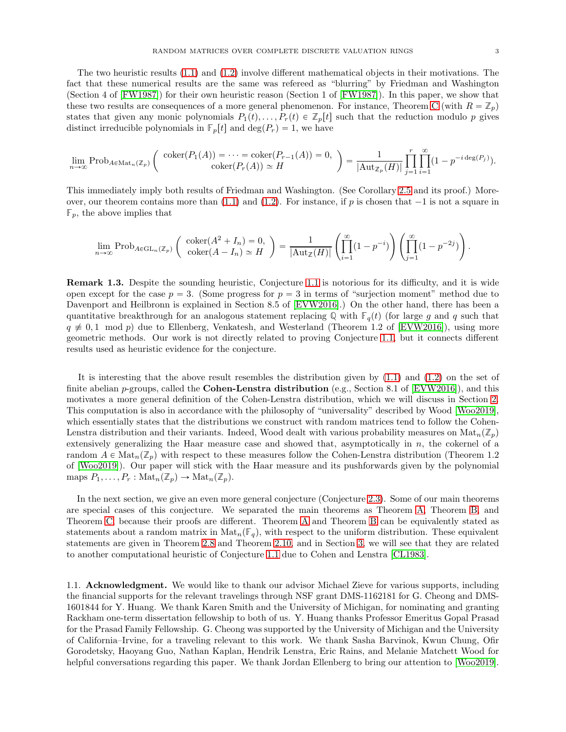.

The two heuristic results [\(1.1\)](#page-1-0) and [\(1.2\)](#page-1-1) involve different mathematical objects in their motivations. The fact that these numerical results are the same was refereed as "blurring" by Friedman and Washington (Section 4 of [\[FW1987\]](#page-22-1)) for their own heuristic reason (Section 1 of [\[FW1987\]](#page-22-1)). In this paper, we show that these two results are consequences of a more general phenomenon. For instance, Theorem [C](#page-5-0) (with  $R = \mathbb{Z}_p$ ) states that given any monic polynomials  $P_1(t), \ldots, P_r(t) \in \mathbb{Z}_p[t]$  such that the reduction modulo p gives distinct irreducible polynomials in  $\mathbb{F}_p[t]$  and  $\text{deg}(P_r) = 1$ , we have

$$
\lim_{n\to\infty} \operatorname{Prob}_{A\in\operatorname{Mat}_n(\mathbb{Z}_p)}\left(\begin{array}{c} \operatorname{coker}(P_1(A))=\cdots=\operatorname{coker}(P_{r-1}(A))=0, \\ \operatorname{coker}(P_r(A))\simeq H \end{array}\right)=\frac{1}{|\operatorname{Aut}_{\mathbb{Z}_p}(H)|}\prod_{j=1}^r\prod_{i=1}^\infty(1-p^{-i\deg(P_j)}).
$$

This immediately imply both results of Friedman and Washington. (See Corollary [2.5](#page-5-1) and its proof.) Moreover, our theorem contains more than  $(1.1)$  and  $(1.2)$ . For instance, if p is chosen that  $-1$  is not a square in  $\mathbb{F}_p$ , the above implies that

$$
\lim_{n \to \infty} \operatorname{Prob}_{A \in \mathrm{GL}_n(\mathbb{Z}_p)} \left( \begin{array}{c} \operatorname{coker}(A^2 + I_n) = 0, \\ \operatorname{coker}(A - I_n) \simeq H \end{array} \right) = \frac{1}{|\mathrm{Aut}_\mathbb{Z}(H)|} \left( \prod_{i=1}^\infty (1 - p^{-i}) \right) \left( \prod_{j=1}^\infty (1 - p^{-2j}) \right)
$$

Remark 1.3. Despite the sounding heuristic, Conjecture [1.1](#page-0-0) is notorious for its difficulty, and it is wide open except for the case  $p = 3$ . (Some progress for  $p = 3$  in terms of "surjection moment" method due to Davenport and Heilbronn is explained in Section 8.5 of [\[EVW2016\]](#page-22-4).) On the other hand, there has been a quantitative breakthrough for an analogous statement replacing  $\mathbb{Q}$  with  $\mathbb{F}_q(t)$  (for large g and q such that  $q \neq 0, 1 \mod p$  due to Ellenberg, Venkatesh, and Westerland (Theorem 1.2 of [\[EVW2016\]](#page-22-4)), using more geometric methods. Our work is not directly related to proving Conjecture [1.1,](#page-0-0) but it connects different results used as heuristic evidence for the conjecture.

It is interesting that the above result resembles the distribution given by [\(1.1\)](#page-1-0) and [\(1.2\)](#page-1-1) on the set of finite abelian p-groups, called the Cohen-Lenstra distribution (e.g., Section 8.1 of [\[EVW2016\]](#page-22-4)), and this motivates a more general definition of the Cohen-Lenstra distribution, which we will discuss in Section [2.](#page-3-0) This computation is also in accordance with the philosophy of "universality" described by Wood [\[Woo2019\]](#page-22-5), which essentially states that the distributions we construct with random matrices tend to follow the Cohen-Lenstra distribution and their variants. Indeed, Wood dealt with various probability measures on  $\text{Mat}_n(\mathbb{Z}_p)$ extensively generalizing the Haar measure case and showed that, asymptotically in  $n$ , the cokernel of a random  $A \in \text{Mat}_n(\mathbb{Z}_p)$  with respect to these measures follow the Cohen-Lenstra distribution (Theorem 1.2) of [\[Woo2019\]](#page-22-5)). Our paper will stick with the Haar measure and its pushforwards given by the polynomial maps  $P_1, \ldots, P_r : \text{Mat}_n(\mathbb{Z}_p) \to \text{Mat}_n(\mathbb{Z}_p)$ .

In the next section, we give an even more general conjecture (Conjecture [2.3\)](#page-4-0). Some of our main theorems are special cases of this conjecture. We separated the main theorems as Theorem [A,](#page-4-1) Theorem [B,](#page-5-2) and Theorem [C,](#page-5-0) because their proofs are different. Theorem [A](#page-4-1) and Theorem [B](#page-5-2) can be equivalently stated as statements about a random matrix in  $\text{Mat}_n(\mathbb{F}_q)$ , with respect to the uniform distribution. These equivalent statements are given in Theorem [2.8](#page-6-0) and Theorem [2.10,](#page-7-0) and in Section [3,](#page-8-0) we will see that they are related to another computational heuristic of Conjecture [1.1](#page-0-0) due to Cohen and Lenstra [\[CL1983\]](#page-22-0).

1.1. Acknowledgment. We would like to thank our advisor Michael Zieve for various supports, including the financial supports for the relevant travelings through NSF grant DMS-1162181 for G. Cheong and DMS-1601844 for Y. Huang. We thank Karen Smith and the University of Michigan, for nominating and granting Rackham one-term dissertation fellowship to both of us. Y. Huang thanks Professor Emeritus Gopal Prasad for the Prasad Family Fellowship. G. Cheong was supported by the University of Michigan and the University of California–Irvine, for a traveling relevant to this work. We thank Sasha Barvinok, Kwun Chung, Ofir Gorodetsky, Haoyang Guo, Nathan Kaplan, Hendrik Lenstra, Eric Rains, and Melanie Matchett Wood for helpful conversations regarding this paper. We thank Jordan Ellenberg to bring our attention to [\[Woo2019\]](#page-22-5).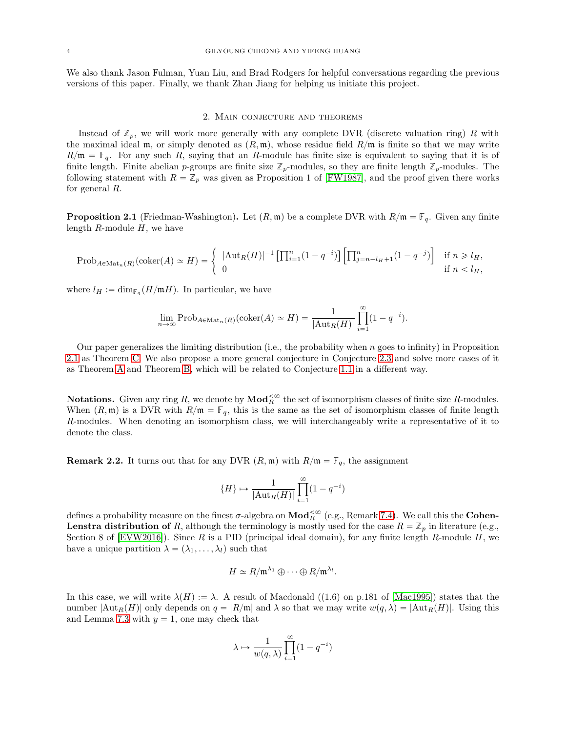We also thank Jason Fulman, Yuan Liu, and Brad Rodgers for helpful conversations regarding the previous versions of this paper. Finally, we thank Zhan Jiang for helping us initiate this project.

### 2. Main conjecture and theorems

<span id="page-3-0"></span>Instead of  $\mathbb{Z}_p$ , we will work more generally with any complete DVR (discrete valuation ring) R with the maximal ideal m, or simply denoted as  $(R, \mathfrak{m})$ , whose residue field  $R/\mathfrak{m}$  is finite so that we may write  $R/\mathfrak{m} = \mathbb{F}_q$ . For any such R, saying that an R-module has finite size is equivalent to saying that it is of finite length. Finite abelian p-groups are finite size  $\mathbb{Z}_p$ -modules, so they are finite length  $\mathbb{Z}_p$ -modules. The following statement with  $R = \mathbb{Z}_p$  was given as Proposition 1 of [\[FW1987\]](#page-22-1), and the proof given there works for general R.

<span id="page-3-1"></span>**Proposition 2.1** (Friedman-Washington). Let  $(R, \mathfrak{m})$  be a complete DVR with  $R/\mathfrak{m} = \mathbb{F}_q$ . Given any finite length  $R$ -module  $H$ , we have

$$
\mathrm{Prob}_{A \in \mathrm{Mat}_n(R)}(\mathrm{coker}(A) \simeq H) = \begin{cases} |\mathrm{Aut}_R(H)|^{-1} \left[ \prod_{i=1}^n (1 - q^{-i}) \right] \left[ \prod_{j=n-l_H+1}^n (1 - q^{-j}) \right] & \text{if } n \geq l_H, \\ 0 & \text{if } n < l_H, \end{cases}
$$

where  $l_H := \dim_{\mathbb{F}_q}(H/\mathfrak{m} H)$ . In particular, we have

$$
\lim_{n \to \infty} \mathrm{Prob}_{A \in \mathrm{Mat}_n(R)}(\mathrm{coker}(A) \simeq H) = \frac{1}{|\mathrm{Aut}_R(H)|} \prod_{i=1}^{\infty} (1 - q^{-i}).
$$

Our paper generalizes the limiting distribution (i.e., the probability when  $n$  goes to infinity) in Proposition [2.1](#page-3-1) as Theorem [C.](#page-5-0) We also propose a more general conjecture in Conjecture [2.3](#page-4-0) and solve more cases of it as Theorem [A](#page-4-1) and Theorem [B,](#page-5-2) which will be related to Conjecture [1.1](#page-0-0) in a different way.

**Notations.** Given any ring R, we denote by  $\text{Mod}_R^{\lt \infty}$  the set of isomorphism classes of finite size R-modules. When  $(R, \mathfrak{m})$  is a DVR with  $R/\mathfrak{m} = \mathbb{F}_q$ , this is the same as the set of isomorphism classes of finite length R-modules. When denoting an isomorphism class, we will interchangeably write a representative of it to denote the class.

**Remark 2.2.** It turns out that for any DVR  $(R, \mathfrak{m})$  with  $R/\mathfrak{m} = \mathbb{F}_q$ , the assignment

$$
\{H\} \mapsto \frac{1}{|\mathrm{Aut}_R(H)|} \prod_{i=1}^{\infty} (1 - q^{-i})
$$

defines a probability measure on the finest  $\sigma$ -algebra on  $\bf{Mod}_{R}^{\lt \infty}$  (e.g., Remark [7.4\)](#page-16-0). We call this the Cohen-**Lenstra distribution of** R, although the terminology is mostly used for the case  $R = \mathbb{Z}_p$  in literature (e.g., Section 8 of  $[EVW2016]$ ). Since R is a PID (principal ideal domain), for any finite length R-module H, we have a unique partition  $\lambda = (\lambda_1, \ldots, \lambda_l)$  such that

$$
H \simeq R/\mathfrak{m}^{\lambda_1} \oplus \cdots \oplus R/\mathfrak{m}^{\lambda_l}.
$$

In this case, we will write  $\lambda(H) := \lambda$ . A result of Macdonald ((1.6) on p.181 of [\[Mac1995\]](#page-22-6)) states that the number  $|\text{Aut}_R(H)|$  only depends on  $q = |R/\mathfrak{m}|$  and  $\lambda$  so that we may write  $w(q, \lambda) = |\text{Aut}_R(H)|$ . Using this and Lemma [7.3](#page-16-1) with  $y = 1$ , one may check that

$$
\lambda \mapsto \frac{1}{w(q,\lambda)} \prod_{i=1}^{\infty} (1 - q^{-i})
$$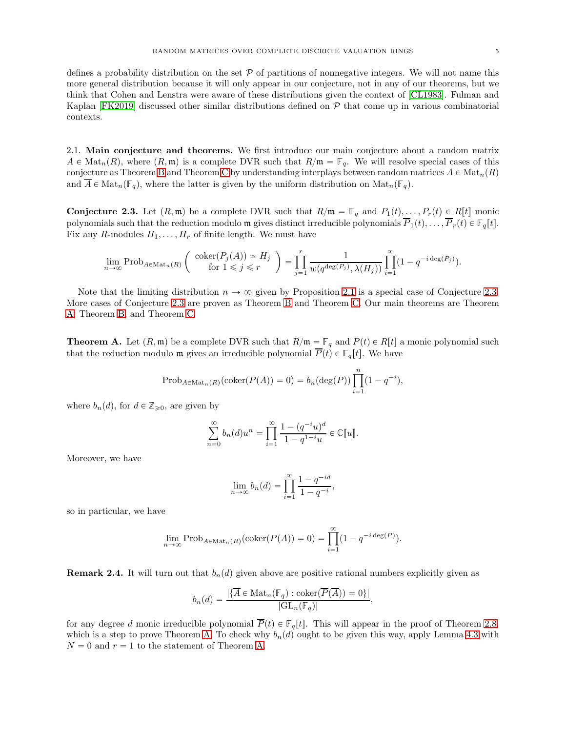defines a probability distribution on the set  $\mathcal P$  of partitions of nonnegative integers. We will not name this more general distribution because it will only appear in our conjecture, not in any of our theorems, but we think that Cohen and Lenstra were aware of these distributions given the context of [\[CL1983\]](#page-22-0). Fulman and Kaplan [\[FK2019\]](#page-22-7) discussed other similar distributions defined on  $P$  that come up in various combinatorial contexts.

2.1. Main conjecture and theorems. We first introduce our main conjecture about a random matrix  $A \in Mat_n(R)$ , where  $(R, \mathfrak{m})$  is a complete DVR such that  $R/\mathfrak{m} = \mathbb{F}_q$ . We will resolve special cases of this conjecture as Theorem [B](#page-5-2) and Theorem [C](#page-5-0) by understanding interplays between random matrices  $A \in \text{Mat}_n(R)$ and  $\overline{A} \in \text{Mat}_n(\mathbb{F}_q)$ , where the latter is given by the uniform distribution on  $\text{Mat}_n(\mathbb{F}_q)$ .

<span id="page-4-0"></span>**Conjecture 2.3.** Let  $(R, \mathfrak{m})$  be a complete DVR such that  $R/\mathfrak{m} = \mathbb{F}_q$  and  $P_1(t), \ldots, P_r(t) \in R[t]$  monic polynomials such that the reduction modulo **m** gives distinct irreducible polynomials  $\overline{P}_1(t), \ldots, \overline{P}_r(t) \in \mathbb{F}_q[t]$ . Fix any R-modules  $H_1, \ldots, H_r$  of finite length. We must have

$$
\lim_{n \to \infty} \mathrm{Prob}_{A \in \mathrm{Mat}_n(R)} \left( \begin{array}{c} \mathrm{coker}(P_j(A)) \simeq H_j \\ \mathrm{for} \ 1 \leq j \leq r \end{array} \right) = \prod_{j=1}^r \frac{1}{w(q^{\deg(P_j)}, \lambda(H_j))} \prod_{i=1}^{\infty} (1 - q^{-i \deg(P_j)}).
$$

Note that the limiting distribution  $n \to \infty$  given by Proposition [2.1](#page-3-1) is a special case of Conjecture [2.3.](#page-4-0) More cases of Conjecture [2.3](#page-4-0) are proven as Theorem [B](#page-5-2) and Theorem [C.](#page-5-0) Our main theorems are Theorem [A,](#page-4-1) Theorem [B,](#page-5-2) and Theorem [C.](#page-5-0)

<span id="page-4-1"></span>**Theorem A.** Let  $(R, \mathfrak{m})$  be a complete DVR such that  $R/\mathfrak{m} = \mathbb{F}_q$  and  $P(t) \in R[t]$  a monic polynomial such that the reduction modulo **m** gives an irreducible polynomial  $\overline{P}(t) \in \mathbb{F}_q[t]$ . We have

$$
\mathrm{Prob}_{A \in \mathrm{Mat}_n(R)}(\mathrm{coker}(P(A)) = 0) = b_n(\deg(P)) \prod_{i=1}^n (1 - q^{-i}),
$$

where  $b_n(d)$ , for  $d \in \mathbb{Z}_{\geqslant 0}$ , are given by

$$
\sum_{n=0}^{\infty} b_n(d)u^n = \prod_{i=1}^{\infty} \frac{1 - (q^{-i}u)^d}{1 - q^{1-i}u} \in \mathbb{C}[[u]].
$$

Moreover, we have

$$
\lim_{n \to \infty} b_n(d) = \prod_{i=1}^{\infty} \frac{1 - q^{-id}}{1 - q^{-i}},
$$

so in particular, we have

$$
\lim_{n \to \infty} \text{Prob}_{A \in \text{Mat}_n(R)}(\text{coker}(P(A)) = 0) = \prod_{i=1}^{\infty} (1 - q^{-i \deg(P)}).
$$

**Remark 2.4.** It will turn out that  $b_n(d)$  given above are positive rational numbers explicitly given as

$$
b_n(d) = \frac{|\{\overline{A} \in \operatorname{Mat}_n(\mathbb{F}_q) : \operatorname{coker}(\overline{P}(\overline{A})) = 0\}|}{|\operatorname{GL}_n(\mathbb{F}_q)|},
$$

for any degree d monic irreducible polynomial  $\overline{P}(t) \in \mathbb{F}_q[t]$ . This will appear in the proof of Theorem [2.8,](#page-6-0) which is a step to prove Theorem [A.](#page-4-1) To check why  $b_n(d)$  ought to be given this way, apply Lemma [4.3](#page-10-0) with  $N = 0$  and  $r = 1$  to the statement of Theorem [A.](#page-4-1)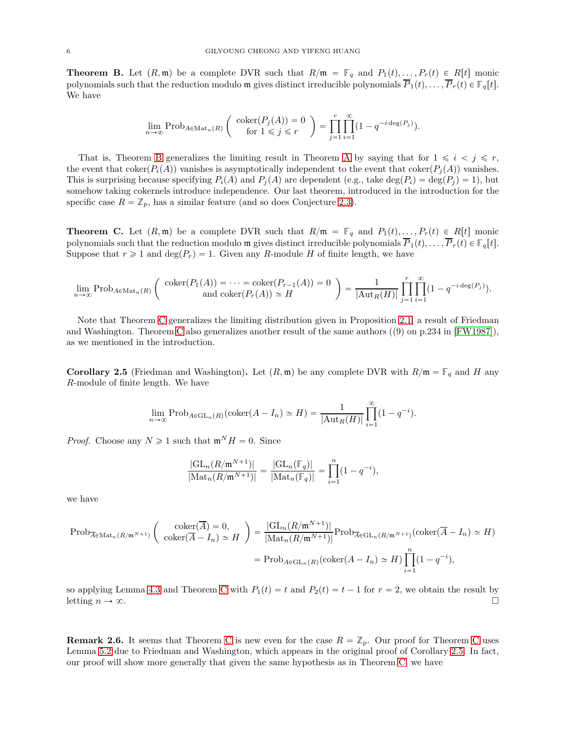<span id="page-5-2"></span>**Theorem B.** Let  $(R, \mathfrak{m})$  be a complete DVR such that  $R/\mathfrak{m} = \mathbb{F}_q$  and  $P_1(t), \ldots, P_r(t) \in R[t]$  monic polynomials such that the reduction modulo m gives distinct irreducible polynomials  $\overline{P}_1(t), \ldots, \overline{P}_r(t) \in \mathbb{F}_q[t]$ . We have

$$
\lim_{n \to \infty} \mathrm{Prob}_{A \in \mathrm{Mat}_n(R)} \left( \begin{array}{c} \mathrm{coker}(P_j(A)) = 0 \\ \mathrm{for} \ 1 \leq j \leq r \end{array} \right) = \prod_{j=1}^r \prod_{i=1}^\infty (1 - q^{-i \deg(P_j)}).
$$

That is, Theorem [B](#page-5-2) generalizes the limiting result in Theorem [A](#page-4-1) by saying that for  $1 \leq i \leq j \leq r$ , the event that coker $(P_i(A))$  vanishes is asymptotically independent to the event that coker $(P_i(A))$  vanishes. This is surprising because specifying  $P_i(A)$  and  $P_j(A)$  are dependent (e.g., take deg $(P_i) = \deg(P_j) = 1$ ), but somehow taking cokernels introduce independence. Our last theorem, introduced in the introduction for the specific case  $R = \mathbb{Z}_p$ , has a similar feature (and so does Conjecture [2.3\)](#page-4-0).

<span id="page-5-0"></span>**Theorem C.** Let  $(R, \mathfrak{m})$  be a complete DVR such that  $R/\mathfrak{m} = \mathbb{F}_q$  and  $P_1(t), \ldots, P_r(t) \in R[t]$  monic polynomials such that the reduction modulo m gives distinct irreducible polynomials  $\overline{P}_1(t), \ldots, \overline{P}_r(t) \in \mathbb{F}_q[t]$ . Suppose that  $r \geq 1$  and  $\deg(P_r) = 1$ . Given any R-module H of finite length, we have

$$
\lim_{n\to\infty} \operatorname{Prob}_{A\in\operatorname{Mat}_n(R)}\left(\begin{array}{c} \operatorname{coker}(P_1(A))=\cdots=\operatorname{coker}(P_{r-1}(A))=0\\ \operatorname{and} \operatorname{coker}(P_r(A))\simeq H \end{array}\right)=\frac{1}{|\operatorname{Aut}_R(H)|}\prod_{j=1}^r\prod_{i=1}^\infty(1-q^{-i\deg(P_j)}).
$$

Note that Theorem [C](#page-5-0) generalizes the limiting distribution given in Proposition [2.1,](#page-3-1) a result of Friedman and Washington. Theorem [C](#page-5-0) also generalizes another result of the same authors ((9) on p.234 in [\[FW1987\]](#page-22-1)), as we mentioned in the introduction.

<span id="page-5-1"></span>**Corollary 2.5** (Friedman and Washington). Let  $(R, \mathfrak{m})$  be any complete DVR with  $R/\mathfrak{m} = \mathbb{F}_q$  and H any R-module of finite length. We have

$$
\lim_{n \to \infty} \mathrm{Prob}_{A \in \mathrm{GL}_n(R)}(\mathrm{coker}(A - I_n) \simeq H) = \frac{1}{|\mathrm{Aut}_R(H)|} \prod_{i=1}^{\infty} (1 - q^{-i}).
$$

*Proof.* Choose any  $N \ge 1$  such that  $\mathfrak{m}^N H = 0$ . Since

$$
\frac{|\mathrm{GL}_n(R/\mathfrak{m}^{N+1})|}{|\mathrm{Mat}_n(R/\mathfrak{m}^{N+1})|}=\frac{|\mathrm{GL}_n(\mathbb{F}_q)|}{|\mathrm{Mat}_n(\mathbb{F}_q)|}=\prod_{i=1}^n(1-q^{-i}),
$$

we have

$$
\text{Prob}_{\overline{A} \in \text{Mat}_n(R/\mathfrak{m}^{N+1})} \left( \begin{array}{c} \text{coker}(\overline{A}) = 0, \\ \text{coker}(\overline{A} - I_n) \simeq H \end{array} \right) = \frac{|\text{GL}_n(R/\mathfrak{m}^{N+1})|}{|\text{Mat}_n(R/\mathfrak{m}^{N+1})|} \text{Prob}_{\overline{A} \in \text{GL}_n(R/\mathfrak{m}^{N+1})} (\text{coker}(\overline{A} - I_n) \simeq H)
$$

$$
= \text{Prob}_{A \in \text{GL}_n(R)} (\text{coker}(A - I_n) \simeq H) \prod_{i=1}^n (1 - q^{-i}),
$$

so applying Lemma [4.3](#page-10-0) and Theorem [C](#page-5-0) with  $P_1(t) = t$  and  $P_2(t) = t - 1$  for  $r = 2$ , we obtain the result by letting  $n \to \infty$ . letting  $n \to \infty$ .

**Remark 2.6.** It seems that Theorem [C](#page-5-0) is new even for the case  $R = \mathbb{Z}_p$ . Our proof for Theorem C uses Lemma [5.2](#page-11-0) due to Friedman and Washington, which appears in the original proof of Corollary [2.5.](#page-5-1) In fact, our proof will show more generally that given the same hypothesis as in Theorem [C,](#page-5-0) we have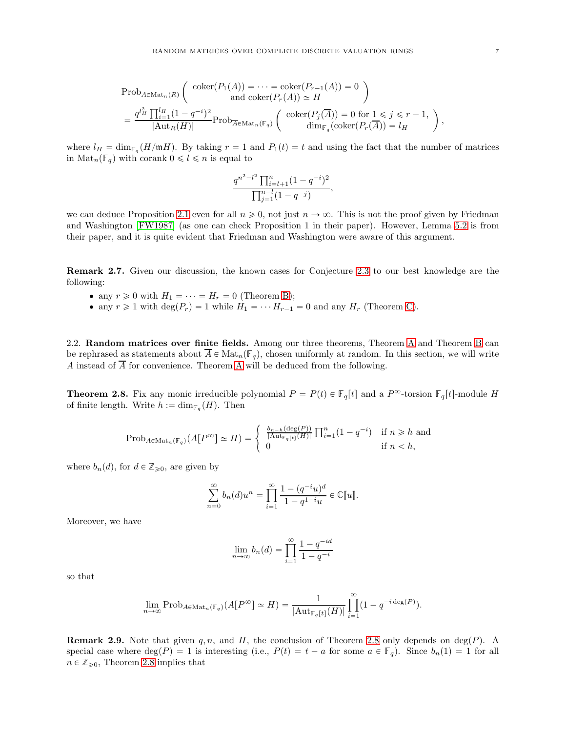$=$  $\frac{\prod_{i=1}^{l_H}(1-q^{-i})^2}{|\text{Aut}_R(H)|} \text{Prob}_{\overline{A} \in \text{Mat}_n(\mathbb{F}_q)} \left( \begin{array}{c} \text{coker}(P_j(\overline{A})) = 0 \text{ for } 1 \leq j \leq r-1, \\ \text{dim}_{\mathbb{F}_q}(\text{coker}(P_r(\overline{A})) = l_H \end{array} \right)$  $\dim_{\mathbb{F}_q}(\text{coker}(P_r(A)) = l_H$ where  $l_H = \dim_{\mathbb{F}_q}(H/\mathfrak{m}H)$ . By taking  $r = 1$  and  $P_1(t) = t$  and using the fact that the number of matrices

in  $\text{Mat}_n(\mathbb{F}_q)$  with corank  $0 \leq l \leq n$  is equal to

$$
\frac{q^{n^2-l^2}\prod_{i=l+1}^n(1-q^{-i})^2}{\prod_{j=1}^{n-l}(1-q^{-j})},
$$

we can deduce Proposition [2.1](#page-3-1) even for all  $n \geq 0$ , not just  $n \to \infty$ . This is not the proof given by Friedman and Washington [\[FW1987\]](#page-22-1) (as one can check Proposition 1 in their paper). However, Lemma [5.2](#page-11-0) is from their paper, and it is quite evident that Friedman and Washington were aware of this argument.

Remark 2.7. Given our discussion, the known cases for Conjecture [2.3](#page-4-0) to our best knowledge are the following:

- any  $r \geq 0$  with  $H_1 = \cdots = H_r = 0$  (Theorem [B\)](#page-5-2);
- any  $r \geq 1$  with  $\deg(P_r) = 1$  while  $H_1 = \cdots H_{r-1} = 0$  and any  $H_r$  (Theorem [C\)](#page-5-0).

2.2. Random matrices over finite fields. [A](#page-4-1)mong our three theorems, Theorem A and Theorem [B](#page-5-2) can be rephrased as statements about  $\overline{A} \in \text{Mat}_n(\mathbb{F}_q)$ , chosen uniformly at random. In this section, we will write A instead of  $\overline{A}$  for convenience. Theorem [A](#page-4-1) will be deduced from the following.

<span id="page-6-0"></span>**Theorem 2.8.** Fix any monic irreducible polynomial  $P = P(t) \in \mathbb{F}_q[t]$  and a  $P^{\infty}$ -torsion  $\mathbb{F}_q[t]$ -module H of finite length. Write  $h := \dim_{\mathbb{F}_q}(H)$ . Then

$$
\mathrm{Prob}_{A \in \mathrm{Mat}_n(\mathbb{F}_q)}(A[P^\infty] \simeq H) = \begin{cases} \frac{b_{n-h}(\deg(P))}{|\mathrm{Aut}_{\mathbb{F}_q[t]}(H)|} \prod_{i=1}^n (1 - q^{-i}) & \text{if } n \ge h \text{ and} \\ 0 & \text{if } n < h, \end{cases}
$$

where  $b_n(d)$ , for  $d \in \mathbb{Z}_{\geqslant 0}$ , are given by

$$
\sum_{n=0}^{\infty} b_n(d)u^n = \prod_{i=1}^{\infty} \frac{1 - (q^{-i}u)^d}{1 - q^{1-i}u} \in \mathbb{C}[[u]].
$$

Moreover, we have

$$
\lim_{n \to \infty} b_n(d) = \prod_{i=1}^{\infty} \frac{1 - q^{-id}}{1 - q^{-i}}
$$

so that

$$
\lim_{n\to\infty} \operatorname{Prob}_{A\in\operatorname{Mat}_n(\mathbb{F}_q)}(A[P^{\infty}]\simeq H) = \frac{1}{|\mathrm{Aut}_{\mathbb{F}_q[t]}(H)|} \prod_{i=1}^{\infty} (1-q^{-i \deg(P)}).
$$

**Remark 2.9.** Note that given q, n, and H, the conclusion of Theorem [2.8](#page-6-0) only depends on deg(P). A special case where  $\deg(P) = 1$  is interesting (i.e.,  $P(t) = t - a$  for some  $a \in \mathbb{F}_q$ ). Since  $b_n(1) = 1$  for all  $n \in \mathbb{Z}_{\geqslant 0}$ , Theorem [2.8](#page-6-0) implies that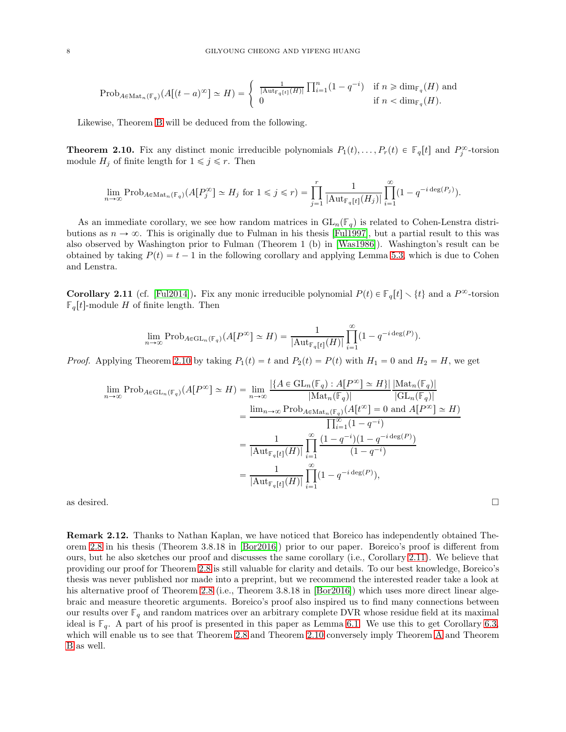$$
\mathrm{Prob}_{A \in \mathrm{Mat}_n(\mathbb{F}_q)}(A[(t-a)^{\infty}] \simeq H) = \begin{cases} \frac{1}{|\mathrm{Aut}_{\mathbb{F}_q[t]}(H)|} \prod_{i=1}^n (1 - q^{-i}) & \text{if } n \ge \dim_{\mathbb{F}_q}(H) \text{ and} \\ 0 & \text{if } n < \dim_{\mathbb{F}_q}(H). \end{cases}
$$

Likewise, Theorem [B](#page-5-2) will be deduced from the following.

<span id="page-7-0"></span>**Theorem 2.10.** Fix any distinct monic irreducible polynomials  $P_1(t), \ldots, P_r(t) \in \mathbb{F}_q[t]$  and  $P_j^{\infty}$ -torsion module  $H_j$  of finite length for  $1 \leq j \leq r$ . Then

$$
\lim_{n\to\infty} \operatorname{Prob}_{A\in\operatorname{Mat}_n(\mathbb{F}_q)}(A[P_j^{\infty}] \simeq H_j \text{ for } 1 \leq j \leq r) = \prod_{j=1}^r \frac{1}{|\operatorname{Aut}_{\mathbb{F}_q[t]}(H_j)|} \prod_{i=1}^{\infty} (1 - q^{-i \deg(P_j)}).
$$

As an immediate corollary, we see how random matrices in  $GL_n(\mathbb{F}_q)$  is related to Cohen-Lenstra distributions as  $n \to \infty$ . This is originally due to Fulman in his thesis [\[Ful1997\]](#page-22-8), but a partial result to this was also observed by Washington prior to Fulman (Theorem 1 (b) in [\[Was1986\]](#page-22-9)). Washington's result can be obtained by taking  $P(t) = t - 1$  in the following corollary and applying Lemma [5.3,](#page-11-1) which is due to Cohen and Lenstra.

<span id="page-7-1"></span>**Corollary 2.11** (cf. [\[Ful2014\]](#page-22-10)). Fix any monic irreducible polynomial  $P(t) \in \mathbb{F}_q[t] \setminus \{t\}$  and a  $P^{\infty}$ -torsion  $\mathbb{F}_q[t]$ -module H of finite length. Then

$$
\lim_{n\to\infty}\mathop{\rm Prob}\nolimits_{A\in \mathop{\rm GL}\nolimits_n(\mathbb F_q)}(A[P^\infty]\simeq H)=\frac{1}{|{\rm Aut}_{\mathbb F_q[t]}(H)|}\prod_{i=1}^\infty(1-q^{-i\deg(P)}).
$$

*Proof.* Applying Theorem [2.10](#page-7-0) by taking  $P_1(t) = t$  and  $P_2(t) = P(t)$  with  $H_1 = 0$  and  $H_2 = H$ , we get

$$
\lim_{n \to \infty} \text{Prob}_{A \in \text{GL}_n(\mathbb{F}_q)}(A[P^{\infty}] \simeq H) = \lim_{n \to \infty} \frac{|\{A \in \text{GL}_n(\mathbb{F}_q) : A[P^{\infty}] \simeq H\}| |\text{Mat}_n(\mathbb{F}_q)|}{|\text{Mat}_n(\mathbb{F}_q)|} \n= \frac{\lim_{n \to \infty} \text{Prob}_{A \in \text{Mat}_n(\mathbb{F}_q)}(A[t^{\infty}] = 0 \text{ and } A[P^{\infty}] \simeq H)}{\prod_{i=1}^{\infty} (1 - q^{-i})} \n= \frac{1}{|\text{Aut}_{\mathbb{F}_q[t]}(H)|} \prod_{i=1}^{\infty} \frac{(1 - q^{-i})(1 - q^{-i \deg(P)})}{(1 - q^{-i})} \n= \frac{1}{|\text{Aut}_{\mathbb{F}_q[t]}(H)|} \prod_{i=1}^{\infty} (1 - q^{-i \deg(P)}),
$$

as desired.  $\Box$ 

Remark 2.12. Thanks to Nathan Kaplan, we have noticed that Boreico has independently obtained Theorem [2.8](#page-6-0) in his thesis (Theorem 3.8.18 in [\[Bor2016\]](#page-22-11)) prior to our paper. Boreico's proof is different from ours, but he also sketches our proof and discusses the same corollary (i.e., Corollary [2.11\)](#page-7-1). We believe that providing our proof for Theorem [2.8](#page-6-0) is still valuable for clarity and details. To our best knowledge, Boreico's thesis was never published nor made into a preprint, but we recommend the interested reader take a look at his alternative proof of Theorem [2.8](#page-6-0) (i.e., Theorem 3.8.18 in [\[Bor2016\]](#page-22-11)) which uses more direct linear algebraic and measure theoretic arguments. Boreico's proof also inspired us to find many connections between our results over  $\mathbb{F}_q$  and random matrices over an arbitrary complete DVR whose residue field at its maximal ideal is  $\mathbb{F}_q$ . A part of his proof is presented in this paper as Lemma [6.1.](#page-13-0) We use this to get Corollary [6.3,](#page-13-1) which will enable us to see that Theorem [2.8](#page-6-0) and Theorem [2.10](#page-7-0) conversely imply Theorem [A](#page-4-1) and Theorem [B](#page-5-2) as well.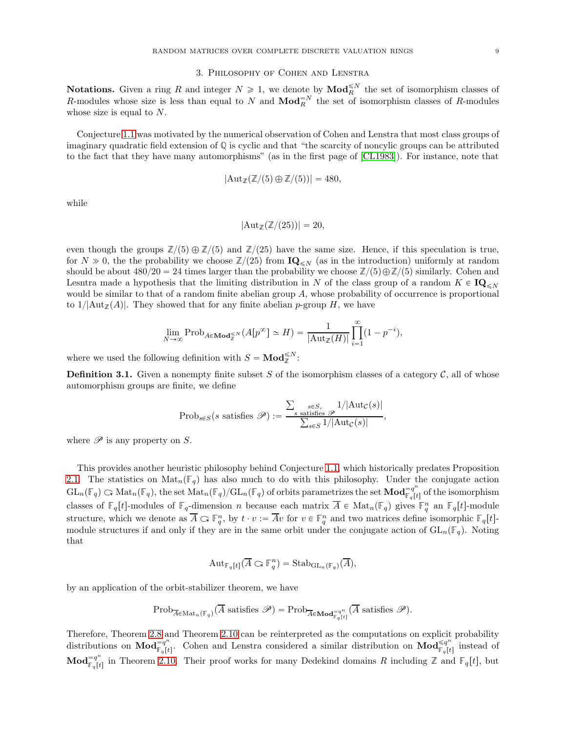### 3. Philosophy of Cohen and Lenstra

<span id="page-8-0"></span>**Notations.** Given a ring R and integer  $N \ge 1$ , we denote by  $\text{Mod}_{R}^{\le N}$  the set of isomorphism classes of R-modules whose size is less than equal to N and  $\mathbf{Mod}_{R}^{\mathbb{R}^{N}}$  the set of isomorphism classes of R-modules whose size is equal to N.

Conjecture [1.1](#page-0-0) was motivated by the numerical observation of Cohen and Lenstra that most class groups of imaginary quadratic field extension of **Q** is cyclic and that "the scarcity of noncylic groups can be attributed to the fact that they have many automorphisms" (as in the first page of [\[CL1983\]](#page-22-0)). For instance, note that

$$
|\mathrm{Aut}_{\mathbb{Z}}(\mathbb{Z}/(5) \oplus \mathbb{Z}/(5))| = 480,
$$

while

$$
|\mathrm{Aut}_{\mathbb{Z}}(\mathbb{Z}/(25))|=20,
$$

even though the groups  $\mathbb{Z}/(5) \oplus \mathbb{Z}/(5)$  and  $\mathbb{Z}/(25)$  have the same size. Hence, if this speculation is true, for  $N \gg 0$ , the the probability we choose  $\mathbb{Z}/(25)$  from  $\mathbf{IQ}_{\leq N}$  (as in the introduction) uniformly at random should be about  $480/20 = 24$  times larger than the probability we choose  $\mathbb{Z}/(5) \oplus \mathbb{Z}/(5)$  similarly. Cohen and Lesntra made a hypothesis that the limiting distribution in N of the class group of a random  $K \in \mathbf{IQ}_{< N}$ would be similar to that of a random finite abelian group A, whose probability of occurrence is proportional to  $1/|\text{Aut}_{\mathbb{Z}}(A)|$ . They showed that for any finite abelian p-group H, we have

$$
\lim_{N \to \infty} \mathrm{Prob}_{A \in \mathbf{Mod}_{\mathbb{Z}}^{\leq N}} (A[p^{\infty}] \simeq H) = \frac{1}{|\mathrm{Aut}_{\mathbb{Z}}(H)|} \prod_{i=1}^{\infty} (1 - p^{-i}),
$$

where we used the following definition with  $S = \text{Mod}_{\mathbb{Z}}^{\leq N}$ :

**Definition 3.1.** Given a nonempty finite subset S of the isomorphism classes of a category  $\mathcal{C}$ , all of whose automorphism groups are finite, we define

$$
\text{Prob}_{s \in S}(s \text{ satisfies } \mathscr{P}) := \frac{\sum_{s \in S, \atop s \text{ satisfies } \mathscr{P}} 1/|\text{Aut}_{\mathcal{C}}(s)|}{\sum_{s \in S} 1/|\text{Aut}_{\mathcal{C}}(s)|},
$$

where  $\mathscr P$  is any property on S.

This provides another heuristic philosophy behind Conjecture [1.1,](#page-0-0) which historically predates Proposition [2.1.](#page-3-1) The statistics on  $\text{Mat}_n(\mathbb{F}_q)$  has also much to do with this philosophy. Under the conjugate action  $GL_n(\mathbb{F}_q) \subset \text{Mat}_n(\mathbb{F}_q)$ , the set  $\text{Mat}_n(\mathbb{F}_q)/GL_n(\mathbb{F}_q)$  of orbits parametrizes the set  $\text{Mod}_{\mathbb{F}_q[t]}^{\mathbb{F}_q}$  $\mathbb{F}_q[t]$  of the isomorphism classes of  $\mathbb{F}_q[t]$ -modules of  $\mathbb{F}_q$ -dimension n because each matrix  $\overline{A} \in \text{Mat}_n(\mathbb{F}_q)$  gives  $\mathbb{F}_q^n$  an  $\mathbb{F}_q[t]$ -module structure, which we denote as  $\overline{A} \subset \mathbb{F}_q^n$ , by  $t \cdot v := \overline{A}v$  for  $v \in \mathbb{F}_q^n$  and two matrices define isomorphic  $\mathbb{F}_q[t]$ module structures if and only if they are in the same orbit under the conjugate action of  $GL_n(\mathbb{F}_q)$ . Noting that

$$
\mathrm{Aut}_{\mathbb{F}_q[t]}(\overline{A}\subset \mathbb{F}_q^n)=\mathrm{Stab}_{\mathrm{GL}_n(\mathbb{F}_q)}(\overline{A}),
$$

by an application of the orbit-stabilizer theorem, we have

$$
\mathrm{Prob}_{\overline{A}\in\mathrm{Mat}_n(\mathbb{F}_q)}(\overline{A}\text{ satisfies }\mathscr{P})=\mathrm{Prob}_{\overline{A}\in\mathbf{Mod}^{\pi^{q^n}}_{\mathbb{F}_q[t]}}(\overline{A}\text{ satisfies }\mathscr{P}).
$$

Therefore, Theorem [2.8](#page-6-0) and Theorem [2.10](#page-7-0) can be reinterpreted as the computations on explicit probability distributions on  $\mathbf{Mod}_{\mathbb{F}_{q}[\mu]}^{=q^n}$  $F_q[t]$ . Cohen and Lenstra considered a similar distribution on  $\text{Mod}_{\mathbb{F}_q[t]}^{\leq q^n}$  $\mathbb{F}_q[t]$  instead of  $\mathbf{Mod}^{\equiv q^n}_{\mathbb{F}\restriction \mathsf{f}}$  $\mathbb{F}_q[t]$  in Theorem [2.10.](#page-7-0) Their proof works for many Dedekind domains R including  $\mathbb{Z}$  and  $\mathbb{F}_q[t]$ , but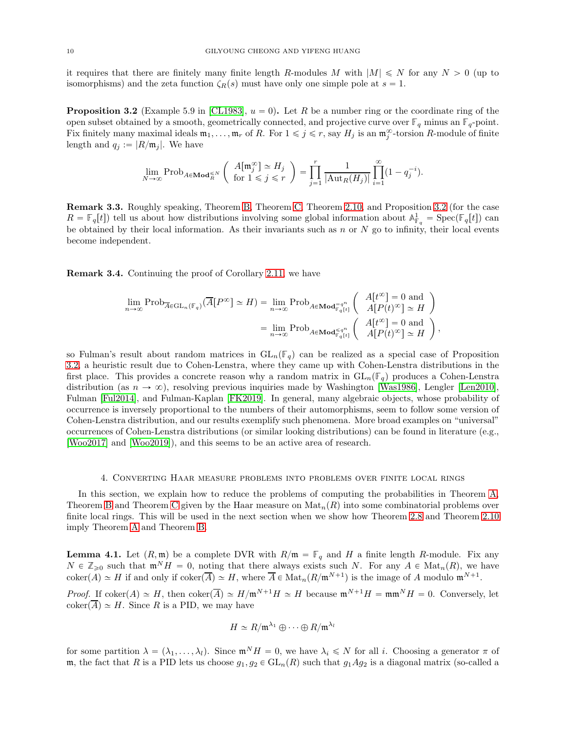it requires that there are finitely many finite length R-modules M with  $|M| \leq N$  for any  $N > 0$  (up to isomorphisms) and the zeta function  $\zeta_R(s)$  must have only one simple pole at  $s = 1$ .

<span id="page-9-0"></span>**Proposition 3.2** (Example 5.9 in [\[CL1983\]](#page-22-0),  $u = 0$ ). Let R be a number ring or the coordinate ring of the open subset obtained by a smooth, geometrically connected, and projective curve over  $\mathbb{F}_q$  minus an  $\mathbb{F}_q$ -point. Fix finitely many maximal ideals  $\mathfrak{m}_1, \ldots, \mathfrak{m}_r$  of R. For  $1 \leq j \leq r$ , say  $H_j$  is an  $\mathfrak{m}_j^{\infty}$ -torsion R-module of finite length and  $q_j := |R/\mathfrak{m}_j|$ . We have

$$
\lim_{N\to\infty}\mathop{\rm Prob}\nolimits_{A\in\mathbf{Mod}_R^{\leqslant N}}\left(\begin{array}{c} A[\mathfrak{m}_j^{\infty}]\simeq H_j \\ \text{for $1\leqslant j\leqslant r$ } \end{array}\right)=\prod_{j=1}^r\frac{1}{|\mathrm{Aut}_R(H_j)|}\prod_{i=1}^{\infty}(1-q_j^{-i}).
$$

Remark 3.3. Roughly speaking, Theorem [B,](#page-5-2) Theorem [C,](#page-5-0) Theorem [2.10,](#page-7-0) and Proposition [3.2](#page-9-0) (for the case  $R = \mathbb{F}_q[t]$  tell us about how distributions involving some global information about  $\mathbb{A}^1_{\mathbb{F}_q} = \text{Spec}(\mathbb{F}_q[t])$  can be obtained by their local information. As their invariants such as  $n$  or  $N$  go to infinity, their local events become independent.

Remark 3.4. Continuing the proof of Corollary [2.11,](#page-7-1) we have

$$
\lim_{n \to \infty} \text{Prob}_{\overline{A} \in \text{GL}_n(\mathbb{F}_q)}(\overline{A}[P^{\infty}] \simeq H) = \lim_{n \to \infty} \text{Prob}_{A \in \text{Mod}_{\mathbb{F}_q[t]}} \left( \begin{array}{c} A[t^{\infty}] = 0 \text{ and } \\ A[P(t)^{\infty}] \simeq H \end{array} \right)
$$

$$
= \lim_{n \to \infty} \text{Prob}_{A \in \text{Mod}_{\mathbb{F}_q[t]}} \left( \begin{array}{c} A[t^{\infty}] = 0 \text{ and } \\ A[P(t)^{\infty}] \simeq H \end{array} \right),
$$

so Fulman's result about random matrices in  $GL_n(\mathbb{F}_q)$  can be realized as a special case of Proposition [3.2,](#page-9-0) a heuristic result due to Cohen-Lenstra, where they came up with Cohen-Lenstra distributions in the first place. This provides a concrete reason why a random matrix in  $GL_n(\mathbb{F}_q)$  produces a Cohen-Lenstra distribution (as  $n \to \infty$ ), resolving previous inquiries made by Washington [\[Was1986\]](#page-22-9), Lengler [\[Len2010\]](#page-22-12), Fulman [\[Ful2014\]](#page-22-10), and Fulman-Kaplan [\[FK2019\]](#page-22-7). In general, many algebraic objects, whose probability of occurrence is inversely proportional to the numbers of their automorphisms, seem to follow some version of Cohen-Lenstra distribution, and our results exemplify such phenomena. More broad examples on "universal" occurrences of Cohen-Lenstra distributions (or similar looking distributions) can be found in literature (e.g., [\[Woo2017\]](#page-22-13) and [\[Woo2019\]](#page-22-5)), and this seems to be an active area of research.

#### 4. Converting Haar measure problems into problems over finite local rings

In this section, we explain how to reduce the problems of computing the probabilities in Theorem [A,](#page-4-1) Theorem [B](#page-5-2) and Theorem [C](#page-5-0) given by the Haar measure on  $\text{Mat}_n(R)$  into some combinatorial problems over finite local rings. This will be used in the next section when we show how Theorem [2.8](#page-6-0) and Theorem [2.10](#page-7-0) imply Theorem [A](#page-4-1) and Theorem [B.](#page-5-2)

<span id="page-9-1"></span>**Lemma 4.1.** Let  $(R, \mathfrak{m})$  be a complete DVR with  $R/\mathfrak{m} = \mathbb{F}_q$  and H a finite length R-module. Fix any  $N \in \mathbb{Z}_{\geqslant 0}$  such that  $\mathfrak{m}^N H = 0$ , noting that there always exists such N. For any  $A \in \text{Mat}_n(R)$ , we have  $\operatorname{coker}(A) \simeq H$  if and only if  $\operatorname{coker}(\overline{A}) \simeq H$ , where  $\overline{A} \in \operatorname{Mat}_n(R/\mathfrak{m}^{N+1})$  is the image of A modulo  $\mathfrak{m}^{N+1}$ .

*Proof.* If coker $(A) \simeq H$ , then coker $\overline{A}$   $\simeq H/\mathfrak{m}^{N+1}H \simeq H$  because  $\mathfrak{m}^{N+1}H = \mathfrak{m}\mathfrak{m}^N H = 0$ . Conversely, let  $\mathrm{coker}(\overline{A}) \simeq H$ . Since R is a PID, we may have

$$
H \simeq R/\mathfrak{m}^{\lambda_1} \oplus \cdots \oplus R/\mathfrak{m}^{\lambda_l}
$$

for some partition  $\lambda = (\lambda_1, \ldots, \lambda_l)$ . Since  $\mathfrak{m}^N H = 0$ , we have  $\lambda_i \leq N$  for all i. Choosing a generator  $\pi$  of m, the fact that R is a PID lets us choose  $g_1, g_2 \in GL_n(R)$  such that  $g_1Ag_2$  is a diagonal matrix (so-called a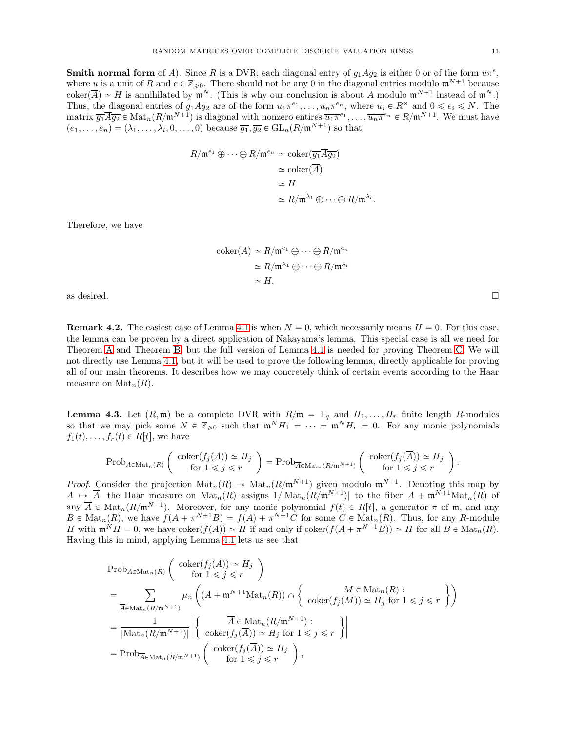**Smith normal form** of A). Since R is a DVR, each diagonal entry of  $g_1Ag_2$  is either 0 or of the form  $u\pi^e$ , where u is a unit of R and  $e \in \mathbb{Z}_{\geq 0}$ . There should not be any 0 in the diagonal entries modulo  $\mathfrak{m}^{N+1}$  because  $\operatorname{coker}(\overline{A}) \simeq H$  is annihilated by  $\mathfrak{m}^N$ . (This is why our conclusion is about A modulo  $\mathfrak{m}^{N+1}$  instead of  $\mathfrak{m}^N$ .) Thus, the diagonal entries of  $g_1Ag_2$  are of the form  $u_1\pi^{e_1}, \ldots, u_n\pi^{e_n}$ , where  $u_i \in R^{\times}$  and  $0 \leq e_i \leq N$ . The matrix  $\overline{g_1A}\overline{g_2} \in \text{Mat}_n(R/\mathfrak{m}^{N+1})$  is diagonal with nonzero entires  $\overline{u_1\pi}^{e_1}, \ldots, \overline{u_n\pi}^{e_n} \in R/\mathfrak{m}^{N+1}$ . We must have  $(e_1, \ldots, e_n) = (\lambda_1, \ldots, \lambda_l, 0, \ldots, 0)$  because  $\overline{g_1}, \overline{g_2} \in GL_n(R/\mathfrak{m}^{N+1})$  so that

$$
R/\mathfrak{m}^{e_1} \oplus \cdots \oplus R/\mathfrak{m}^{e_n} \simeq \mathrm{coker}(\overline{g_1} \overline{A} \overline{g_2})
$$

$$
\simeq \mathrm{coker}(\overline{A})
$$

$$
\simeq H
$$

$$
\simeq R/\mathfrak{m}^{\lambda_1} \oplus \cdots \oplus R/\mathfrak{m}^{\lambda_l}.
$$

Therefore, we have

$$
\begin{aligned} \text{coker}(A) &\simeq R/\mathfrak{m}^{e_1} \oplus \cdots \oplus R/\mathfrak{m}^{e_n} \\ &\simeq R/\mathfrak{m}^{\lambda_1} \oplus \cdots \oplus R/\mathfrak{m}^{\lambda_l} \\ &\simeq H, \end{aligned}
$$

as desired.  $\square$ 

**Remark 4.2.** The easiest case of Lemma [4.1](#page-9-1) is when  $N = 0$ , which necessarily means  $H = 0$ . For this case, the lemma can be proven by a direct application of Nakayama's lemma. This special case is all we need for Theorem [A](#page-4-1) and Theorem [B,](#page-5-2) but the full version of Lemma [4.1](#page-9-1) is needed for proving Theorem [C.](#page-5-0) We will not directly use Lemma [4.1,](#page-9-1) but it will be used to prove the following lemma, directly applicable for proving all of our main theorems. It describes how we may concretely think of certain events according to the Haar measure on  $\text{Mat}_n(R)$ .

<span id="page-10-0"></span>**Lemma 4.3.** Let  $(R, \mathfrak{m})$  be a complete DVR with  $R/\mathfrak{m} = \mathbb{F}_q$  and  $H_1, \ldots, H_r$  finite length R-modules so that we may pick some  $N \in \mathbb{Z}_{\geq 0}$  such that  $\mathfrak{m}^N H_1 = \cdots = \mathfrak{m}^N H_r = 0$ . For any monic polynomials  $f_1(t), \ldots, f_r(t) \in R[t]$ , we have

$$
\mathrm{Prob}_{A \in \mathrm{Mat}_n(R)}\left(\begin{array}{c}\mathrm{coker}(f_j(A)) \simeq H_j \\ \mathrm{for} \ 1 \leq j \leq r\end{array}\right) = \mathrm{Prob}_{\overline{A} \in \mathrm{Mat}_n(R/\mathfrak{m}^{N+1})}\left(\begin{array}{c}\mathrm{coker}(f_j(\overline{A})) \simeq H_j \\ \mathrm{for} \ 1 \leq j \leq r\end{array}\right)
$$

*Proof.* Consider the projection  $\text{Mat}_n(R) \twoheadrightarrow \text{Mat}_n(R/\mathfrak{m}^{N+1})$  given modulo  $\mathfrak{m}^{N+1}$ . Denoting this map by  $A \mapsto \overline{A}$ , the Haar measure on  $\text{Mat}_n(R)$  assigns  $1/|\text{Mat}_n(R/\mathfrak{m}^{N+1})|$  to the fiber  $A + \mathfrak{m}^{N+1}\text{Mat}_n(R)$  of any  $\overline{A} \in \text{Mat}_n(R/\mathfrak{m}^{N+1})$ . Moreover, for any monic polynomial  $f(t) \in R[t]$ , a generator  $\pi$  of  $\mathfrak{m}$ , and any  $B \in \text{Mat}_n(R)$ , we have  $f(A + \pi^{N+1}B) = f(A) + \pi^{N+1}C$  for some  $C \in \text{Mat}_n(R)$ . Thus, for any R-module H with  $\mathfrak{m}^N H = 0$ , we have  $\mathrm{coker}(f(A)) \simeq H$  if and only if  $\mathrm{coker}(f(A + \pi^{N+1}B)) \simeq H$  for all  $B \in \mathrm{Mat}_n(R)$ . Having this in mind, applying Lemma [4.1](#page-9-1) lets us see that

$$
\begin{aligned}\n&\text{Prob}_{A \in \text{Mat}_{n}(R)} \left( \begin{array}{c} \text{coker}(f_{j}(A)) \simeq H_{j} \\
&\text{for } 1 \leq j \leq r \end{array} \right) \\
&= \sum_{\overline{A} \in \text{Mat}_{n}(R/\mathfrak{m}^{N+1})} \mu_{n} \left( (A + \mathfrak{m}^{N+1} \text{Mat}_{n}(R)) \cap \left\{ \begin{array}{c} M \in \text{Mat}_{n}(R) : \\
\text{coker}(f_{j}(M)) \simeq H_{j} \text{ for } 1 \leq j \leq r \end{array} \right\} \right) \\
&= \frac{1}{|\text{Mat}_{n}(R/\mathfrak{m}^{N+1})|} \left| \left\{ \begin{array}{c} \overline{A} \in \text{Mat}_{n}(R/\mathfrak{m}^{N+1}) : \\
\text{coker}(f_{j}(\overline{A})) \simeq H_{j} \text{ for } 1 \leq j \leq r \end{array} \right\} \right| \\
&= \text{Prob}_{\overline{A} \in \text{Mat}_{n}(R/\mathfrak{m}^{N+1})} \left( \begin{array}{c} \text{coker}(f_{j}(\overline{A})) \simeq H_{j} \\\\ \text{for } 1 \leq j \leq r \end{array} \right),\n\end{aligned}
$$

.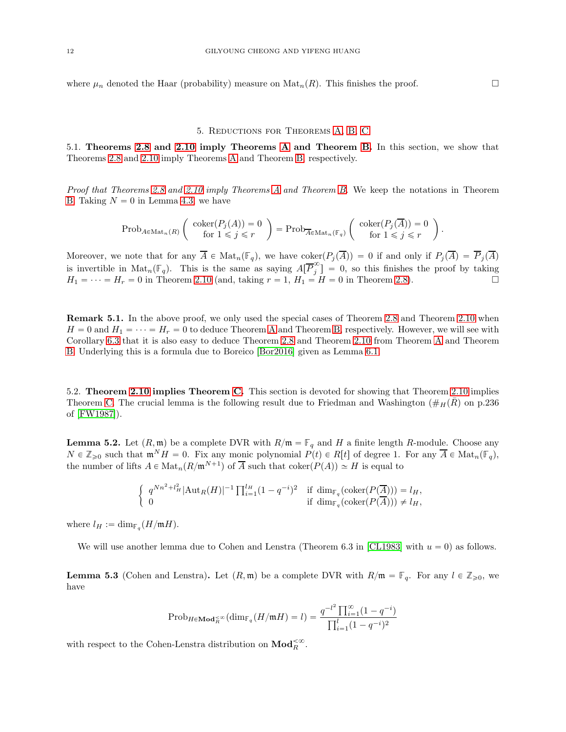where  $\mu_n$  denoted the Haar (probability) measure on  $\text{Mat}_n(R)$ . This finishes the proof.

## 5. Reductions for Theorems [A,](#page-4-1) [B,](#page-5-2) [C](#page-5-0)

<span id="page-11-2"></span>5.1. Theorems [2.8](#page-6-0) and [2.10](#page-7-0) imply Theorems [A](#page-4-1) and Theorem [B.](#page-5-2) In this section, we show that Theorems [2.8](#page-6-0) and [2.10](#page-7-0) imply Theorems [A](#page-4-1) and Theorem [B,](#page-5-2) respectively.

Proof that Theorems [2.8](#page-6-0) and [2.10](#page-7-0) imply Theorems [A](#page-4-1) and Theorem [B.](#page-5-2) We keep the notations in Theorem [B.](#page-5-2) Taking  $N = 0$  in Lemma [4.3,](#page-10-0) we have

$$
\mathrm{Prob}_{A \in \mathrm{Mat}_n(R)} \left( \begin{array}{c} \mathrm{coker}(P_j(A)) = 0 \\ \mathrm{for} \ 1 \leqslant j \leqslant r \end{array} \right) = \mathrm{Prob}_{\overline{A} \in \mathrm{Mat}_n(\mathbb{F}_q)} \left( \begin{array}{c} \mathrm{coker}(P_j(\overline{A})) = 0 \\ \mathrm{for} \ 1 \leqslant j \leqslant r \end{array} \right).
$$

Moreover, we note that for any  $\overline{A} \in \text{Mat}_n(\mathbb{F}_q)$ , we have  $\text{coker}(P_i(\overline{A})) = 0$  if and only if  $P_i(\overline{A}) = \overline{P}_i(\overline{A})$ is invertible in  $\text{Mat}_n(\mathbb{F}_q)$ . This is the same as saying  $A[\overline{P}_{j}^{\infty}]$  $\begin{bmatrix} \infty \\ j \end{bmatrix} = 0$ , so this finishes the proof by taking  $H_1 = \cdots = H_r = 0$  in Theorem [2.10](#page-7-0) (and, taking  $r = 1, H_1 = H = 0$  in Theorem [2.8\)](#page-6-0).

Remark 5.1. In the above proof, we only used the special cases of Theorem [2.8](#page-6-0) and Theorem [2.10](#page-7-0) when  $H = 0$  and  $H_1 = \cdots = H_r = 0$  to deduce Theorem [A](#page-4-1) and Theorem [B,](#page-5-2) respectively. However, we will see with Corollary [6.3](#page-13-1) that it is also easy to deduce Theorem [2.8](#page-6-0) and Theorem [2.10](#page-7-0) from Theorem [A](#page-4-1) and Theorem [B.](#page-5-2) Underlying this is a formula due to Boreico [\[Bor2016\]](#page-22-11) given as Lemma [6.1.](#page-13-0)

5.2. Theorem [2.10](#page-7-0) implies Theorem [C.](#page-5-0) This section is devoted for showing that Theorem [2.10](#page-7-0) implies Theorem [C.](#page-5-0) The crucial lemma is the following result due to Friedman and Washington ( $\#$ <sub>H</sub> $(\bar{R})$ ) on p.236 of [\[FW1987\]](#page-22-1)).

<span id="page-11-0"></span>**Lemma 5.2.** Let  $(R, \mathfrak{m})$  be a complete DVR with  $R/\mathfrak{m} = \mathbb{F}_q$  and H a finite length R-module. Choose any  $N \in \mathbb{Z}_{\geqslant 0}$  such that  $\mathfrak{m}^N H = 0$ . Fix any monic polynomial  $P(t) \in R[t]$  of degree 1. For any  $\overline{A} \in \text{Mat}_n(\mathbb{F}_q)$ , the number of lifts  $A \in \text{Mat}_n(R/\mathfrak{m}^{N+1})$  of  $\overline{A}$  such that  $\text{coker}(P(A)) \simeq H$  is equal to

$$
\begin{cases} q^{Nn^2+l_H^2} |\text{Aut}_R(H)|^{-1} \prod_{i=1}^{l_H} (1-q^{-i})^2 & \text{if } \dim_{\mathbb{F}_q}(\text{coker}(P(\overline{A}))) = l_H, \\ 0 & \text{if } \dim_{\mathbb{F}_q}(\text{coker}(P(\overline{A}))) \neq l_H, \end{cases}
$$

where  $l_H := \dim_{\mathbb{F}_q}(H/\mathfrak{m}H)$ .

We will use another lemma due to Cohen and Lenstra (Theorem 6.3 in [\[CL1983\]](#page-22-0) with  $u = 0$ ) as follows.

<span id="page-11-1"></span>**Lemma 5.3** (Cohen and Lenstra). Let  $(R, \mathfrak{m})$  be a complete DVR with  $R/\mathfrak{m} = \mathbb{F}_q$ . For any  $l \in \mathbb{Z}_{\geq 0}$ , we have

$$
\mathrm{Prob}_{H \in \mathbf{Mod}_R^{\leq \infty}}(\dim_{\mathbb{F}_q}(H/\mathfrak{m} H) = l) = \frac{q^{-l^2} \prod_{i=1}^{\infty} (1 - q^{-i})}{\prod_{i=1}^{l} (1 - q^{-i})^2}
$$

with respect to the Cohen-Lenstra distribution on  $\mathbf{Mod}_{R}^{<\infty}$ .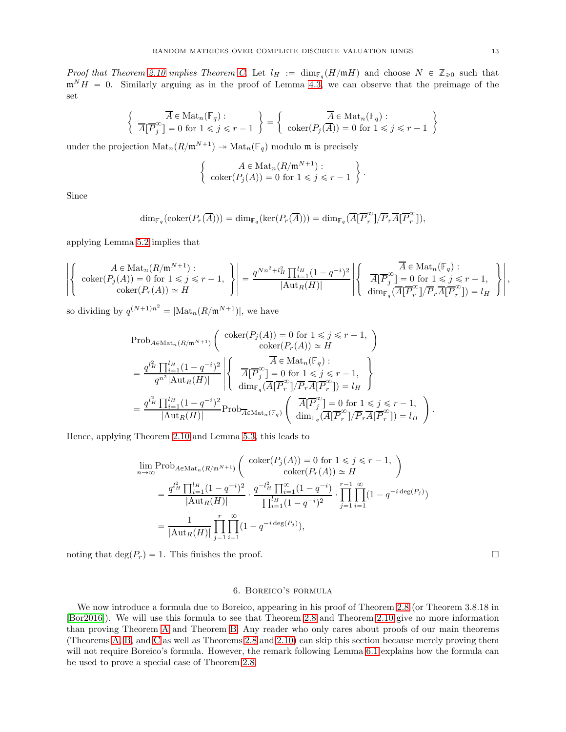Proof that Theorem [2.10](#page-7-0) implies Theorem [C.](#page-5-0) Let  $l_H := \dim_{\mathbb{F}_q}(H/\mathfrak{m} H)$  and choose  $N \in \mathbb{Z}_{\geq 0}$  such that  $\mathfrak{m}^N H = 0$ . Similarly arguing as in the proof of Lemma [4.3,](#page-10-0) we can observe that the preimage of the set

$$
\left\{\n\begin{array}{c}\n\overline{A} \in \text{Mat}_n(\mathbb{F}_q) : \\
\overline{A}[\overline{P}_j^\infty] = 0 \text{ for } 1 \le j \le r - 1\n\end{array}\n\right\} = \left\{\n\begin{array}{c}\n\overline{A} \in \text{Mat}_n(\mathbb{F}_q) : \\
\text{coker}(P_j(\overline{A})) = 0 \text{ for } 1 \le j \le r - 1\n\end{array}\n\right\}
$$

under the projection  $\text{Mat}_n(R/\mathfrak{m}^{N+1}) \to \text{Mat}_n(\mathbb{F}_q)$  modulo  $\mathfrak{m}$  is precisely

$$
\begin{cases}\nA \in \text{Mat}_n(R/\mathfrak{m}^{N+1}): \\
\text{coker}(P_j(A)) = 0 \text{ for } 1 \leq j \leq r-1\n\end{cases}.
$$

Since

$$
\dim_{\mathbb{F}_q}(\mathrm{coker}(P_r(\overline{A}))) = \dim_{\mathbb{F}_q}(\ker(P_r(\overline{A}))) = \dim_{\mathbb{F}_q}(\overline{A}[\overline{P}_r^{\infty}]/\overline{P}_r\overline{A}[\overline{P}_r^{\infty}]),
$$

applying Lemma [5.2](#page-11-0) implies that

$$
\left| \left\{ \begin{array}{c} A \in \text{Mat}_n(R/\mathfrak{m}^{N+1}) : \\ \operatorname{coker}(P_j(A)) = 0 \text{ for } 1 \leq j \leq r-1, \\ \operatorname{coker}(P_r(A)) \simeq H \end{array} \right\} \right| = \frac{q^{Nn^2 + l_H^2} \prod_{i=1}^{l_H} (1 - q^{-i})^2}{|\text{Aut}_R(H)|} \left| \left\{ \begin{array}{c} \overline{A} \in \text{Mat}_n(\mathbb{F}_q) : \\ \overline{A}[\overline{P}_j^{\infty}] = 0 \text{ for } 1 \leq j \leq r-1, \\ \dim_{\mathbb{F}_q} (\overline{A}[\overline{P}_r^{\infty}]/\overline{P}_r \overline{A}[\overline{P}_r^{\infty}]) = l_H \end{array} \right\} \right|,
$$

so dividing by  $q^{(N+1)n^2} = |\text{Mat}_n(R/\mathfrak{m}^{N+1})|$ , we have

$$
\begin{split} &\text{Prob}_{A\in\text{Mat}_n(R/\mathfrak{m}^{N+1})}\left(\begin{array}{c} \text{coker}(P_j(A))=0 \text{ for } 1\leqslant j\leqslant r-1, \\ \text{coker}(P_r(A))\simeq H \end{array}\right)\\ &=\frac{q^{l_H^2}\prod_{i=1}^{l_H}(1-q^{-i})^2}{q^{n^2}|\text{Aut}_R(H)|}\left|\left\{\begin{array}{c} \overline{A}\in\text{Mat}_n(\mathbb{F}_q): \\ \overline{A[P_j^\infty]}=0 \text{ for } 1\leqslant j\leqslant r-1, \\ \dim_{\mathbb{F}_q}(\overline{A[P_r^\infty]}/\overline{P_r}\overline{A[P_r^\infty]})=l_H \end{array}\right\}\right|\\ &=\frac{q^{l_H^2}\prod_{i=1}^{l_H}(1-q^{-i})^2}{|\text{Aut}_R(H)|}\text{Prob}_{\overline{A}\in\text{Mat}_n(\mathbb{F}_q)}\left(\begin{array}{c} \overline{A[P_j^\infty]}=0 \text{ for } 1\leqslant j\leqslant r-1, \\ \dim_{\mathbb{F}_q}(\overline{A[P_r^\infty]}/\overline{P_r}\overline{A[P_r^\infty]})=l_H \end{array}\right). \end{split}
$$

Hence, applying Theorem [2.10](#page-7-0) and Lemma [5.3,](#page-11-1) this leads to

$$
\lim_{n \to \infty} \text{Prob}_{A \in \text{Mat}_n(R/\mathfrak{m}^{N+1})} \left( \begin{array}{c} \text{coker}(P_j(A)) = 0 \text{ for } 1 \leq j \leq r-1, \\ \text{coker}(P_r(A)) \simeq H \end{array} \right)
$$
\n
$$
= \frac{q^{l_H^2} \prod_{i=1}^{l_H} (1 - q^{-i})^2}{|\text{Aut}_R(H)|} \cdot \frac{q^{-l_H^2} \prod_{i=1}^{\infty} (1 - q^{-i})}{\prod_{i=1}^{l_H} (1 - q^{-i})^2} \cdot \prod_{j=1}^{r-1} \prod_{i=1}^{\infty} (1 - q^{-i \deg(P_j)})
$$
\n
$$
= \frac{1}{|\text{Aut}_R(H)|} \prod_{j=1}^r \prod_{i=1}^{\infty} (1 - q^{-i \deg(P_j)}),
$$

noting that  $\deg(P_r) = 1$ . This finishes the proof.

#### 6. Boreico's formula

We now introduce a formula due to Boreico, appearing in his proof of Theorem [2.8](#page-6-0) (or Theorem 3.8.18 in [\[Bor2016\]](#page-22-11)). We will use this formula to see that Theorem [2.8](#page-6-0) and Theorem [2.10](#page-7-0) give no more information than proving Theorem [A](#page-4-1) and Theorem [B.](#page-5-2) Any reader who only cares about proofs of our main theorems (Theorems [A,](#page-4-1) [B,](#page-5-2) and [C](#page-5-0) as well as Theorems [2.8](#page-6-0) and [2.10\)](#page-7-0) can skip this section because merely proving them will not require Boreico's formula. However, the remark following Lemma [6.1](#page-13-0) explains how the formula can be used to prove a special case of Theorem [2.8.](#page-6-0)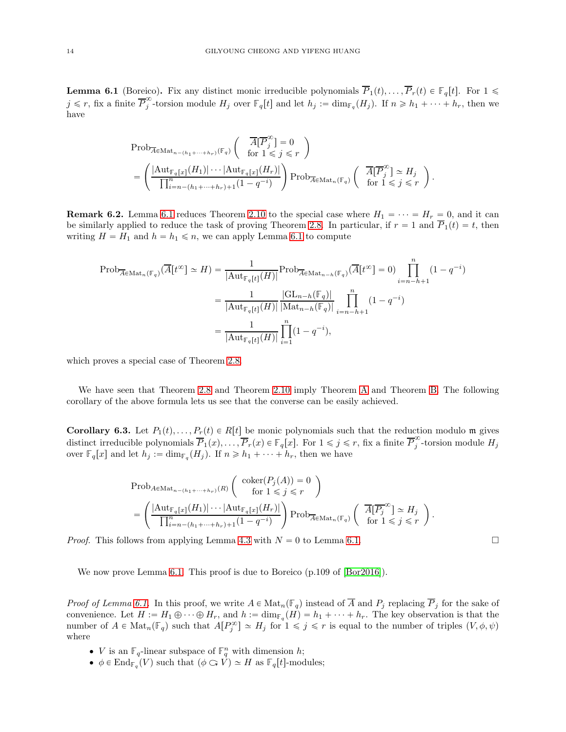<span id="page-13-0"></span>**Lemma 6.1** (Boreico). Fix any distinct monic irreducible polynomials  $\overline{P}_1(t), \ldots, \overline{P}_r(t) \in \mathbb{F}_q[t]$ . For  $1 \leq$  $j \leq r$ , fix a finite  $\overline{P}_j^{\infty}$ for torsion module  $H_j$  over  $\mathbb{F}_q[t]$  and let  $h_j := \dim_{\mathbb{F}_q}(H_j)$ . If  $n \geq h_1 + \cdots + h_r$ , then we have

$$
\begin{split} &\mathrm{Prob}_{\overline{A}\in\mathrm{Mat}_{n-(h_1+\cdots+h_r)}(\mathbb{F}_q)}\left(\begin{array}{c}\overline{A}[\overline{P}_{j}^{\infty}]=0\\ \mathrm{for}\;1\leqslant j\leqslant r\end{array}\right)\\ &=\left(\frac{|\mathrm{Aut}_{\mathbb{F}_q[x]}(H_1)|\cdots|\mathrm{Aut}_{\mathbb{F}_q[x]}(H_r)|}{\prod_{i=n-(h_1+\cdots+h_r)+1}^{n}(1-q^{-i})}\right)\mathrm{Prob}_{\overline{A}\in\mathrm{Mat}_{n}(\mathbb{F}_q)}\left(\begin{array}{c}\overline{A}[\overline{P}_{j}^{\infty}]\simeq H_j\\ \mathrm{for}\;1\leqslant j\leqslant r\end{array}\right).\end{split}
$$

**Remark 6.2.** Lemma [6.1](#page-13-0) reduces Theorem [2.10](#page-7-0) to the special case where  $H_1 = \cdots = H_r = 0$ , and it can be similarly applied to reduce the task of proving Theorem [2.8.](#page-6-0) In particular, if  $r = 1$  and  $\overline{P}_1(t) = t$ , then writing  $H = H_1$  and  $h = h_1 \le n$ , we can apply Lemma [6.1](#page-13-0) to compute

$$
\text{Prob}_{\overline{A} \in \text{Mat}_{n}(\mathbb{F}_{q})}(\overline{A}[t^{\infty}] \simeq H) = \frac{1}{|\text{Aut}_{\mathbb{F}_{q}[t]}(H)|} \text{Prob}_{\overline{A} \in \text{Mat}_{n-h}(\mathbb{F}_{q})}(\overline{A}[t^{\infty}] = 0) \prod_{i=n-h+1}^{n} (1 - q^{-i})
$$

$$
= \frac{1}{|\text{Aut}_{\mathbb{F}_{q}[t]}(H)|} \frac{|\text{GL}_{n-h}(\mathbb{F}_{q})|}{|\text{Mat}_{n-h}(\mathbb{F}_{q})|} \prod_{i=n-h+1}^{n} (1 - q^{-i})
$$

$$
= \frac{1}{|\text{Aut}_{\mathbb{F}_{q}[t]}(H)|} \prod_{i=1}^{n} (1 - q^{-i}),
$$

which proves a special case of Theorem [2.8.](#page-6-0)

We have seen that Theorem [2.8](#page-6-0) and Theorem [2.10](#page-7-0) imply Theorem [A](#page-4-1) and Theorem [B.](#page-5-2) The following corollary of the above formula lets us see that the converse can be easily achieved.

<span id="page-13-1"></span>**Corollary 6.3.** Let  $P_1(t), \ldots, P_r(t) \in R[t]$  be monic polynomials such that the reduction modulo m gives distinct irreducible polynomials  $\overline{P}_1(x), \ldots, \overline{P}_r(x) \in \mathbb{F}_q[x]$ . For  $1 \leq j \leq r$ , fix a finite  $\overline{P}_j^{\infty}$  $j$ -torsion module  $H_j$ over  $\mathbb{F}_q[x]$  and let  $h_j := \dim_{\mathbb{F}_q}(H_j)$ . If  $n \geq h_1 + \cdots + h_r$ , then we have

$$
\text{Prob}_{A \in \text{Mat}_{n-(h_1+\dots+h_r)}(R)} \left( \text{coker}(P_j(A)) = 0 \atop \text{for } 1 \leq j \leq r \right)
$$
\n
$$
= \left( \frac{|\text{Aut}_{\mathbb{F}_q[x]}(H_1)| \cdots |\text{Aut}_{\mathbb{F}_q[x]}(H_r)|}{\prod_{i=n-(h_1+\dots+h_r)+1}^{n}(1-q^{-i})} \right) \text{Prob}_{\overline{A} \in \text{Mat}_{n}(\mathbb{F}_q)} \left( \frac{\overline{A}[\overline{P_j}^{\infty}] \simeq H_j}{\text{for } 1 \leq j \leq r} \right).
$$

*Proof.* This follows from applying Lemma [4.3](#page-10-0) with  $N = 0$  to Lemma [6.1.](#page-13-0)

We now prove Lemma [6.1.](#page-13-0) This proof is due to Boreico (p.109 of  $|B\text{or}2016|$ ).

*Proof of Lemma [6.1.](#page-13-0)* In this proof, we write  $A \in \text{Mat}_n(\mathbb{F}_q)$  instead of  $\overline{A}$  and  $P_j$  replacing  $\overline{P}_j$  for the sake of convenience. Let  $H := H_1 \oplus \cdots \oplus H_r$ , and  $h := \dim_{\mathbb{F}_q}(H) = h_1 + \cdots + h_r$ . The key observation is that the number of  $A \in \text{Mat}_n(\mathbb{F}_q)$  such that  $A[P_j^{\infty}] \simeq H_j$  for  $1 \leq j \leq r$  is equal to the number of triples  $(V, \phi, \psi)$ where

- *V* is an  $\mathbb{F}_q$ -linear subspace of  $\mathbb{F}_q^n$  with dimension *h*;
- $\phi \in \text{End}_{\mathbb{F}_q}(V)$  such that  $(\phi \subset V) \simeq H$  as  $\mathbb{F}_q[t]$ -modules;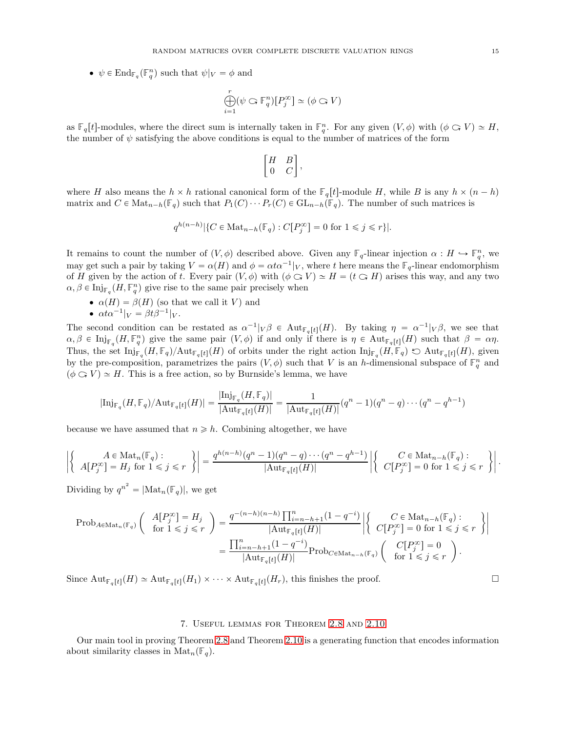•  $\psi \in \text{End}_{\mathbb{F}_q}(\mathbb{F}_q^n)$  such that  $\psi|_V = \phi$  and

$$
\bigoplus_{i=1}^r (\psi \mathbin{\subset} \mathbb{F}_q^n)[P_j^\infty] \simeq (\phi \mathbin{\subset} V)
$$

as  $\mathbb{F}_q[t]$ -modules, where the direct sum is internally taken in  $\mathbb{F}_q^n$ . For any given  $(V, \phi)$  with  $(\phi \subset V) \simeq H$ , the number of  $\psi$  satisfying the above conditions is equal to the number of matrices of the form

$$
\begin{bmatrix} H & B \\ 0 & C \end{bmatrix},
$$

where H also means the  $h \times h$  rational canonical form of the  $\mathbb{F}_q[t]$ -module H, while B is any  $h \times (n-h)$ matrix and  $C \in \text{Mat}_{n-h}(\mathbb{F}_q)$  such that  $P_1(C) \cdots P_r(C) \in \text{GL}_{n-h}(\mathbb{F}_q)$ . The number of such matrices is

$$
q^{h(n-h)}|\{C \in \mathrm{Mat}_{n-h}(\mathbb{F}_q) : C[P_j^{\infty}] = 0 \text{ for } 1 \leq j \leq r\}|.
$$

It remains to count the number of  $(V, \phi)$  described above. Given any **F**<sub>q</sub>-linear injection  $\alpha : H \hookrightarrow \mathbb{F}_q^n$ , we may get such a pair by taking  $V = \alpha(H)$  and  $\phi = \alpha t \alpha^{-1}|V$ , where t here means the  $\mathbb{F}_q$ -linear endomorphism of H given by the action of t. Every pair  $(V, \phi)$  with  $(\phi \subset V) \simeq H = (t \subset H)$  arises this way, and any two  $\alpha, \beta \in \mathrm{Inj}_{\mathbb{F}_q}(H, \mathbb{F}_q^n)$  give rise to the same pair precisely when

 $\bullet \ \alpha(H) = \beta(H)$  (so that we call it V) and •  $\alpha t \alpha^{-1} |_{V} = \beta t \beta^{-1} |_{V}.$ 

The second condition can be restated as  $\alpha^{-1} |V\beta \in Aut_{\mathbb{F}_q[t]}(H)$ . By taking  $\eta = \alpha^{-1} |V\beta$ , we see that  $\alpha, \beta \in \text{Inj}_{\mathbb{F}_q}(H, \mathbb{F}_q^n)$  give the same pair  $(V, \phi)$  if and only if there is  $\eta \in \text{Aut}_{\mathbb{F}_q[t]}(H)$  such that  $\beta = \alpha \eta$ . Thus, the set  $\text{Inj}_{\mathbb{F}_q}(H, \mathbb{F}_q)/\text{Aut}_{\mathbb{F}_q[t]}(H)$  of orbits under the right action  $\text{Inj}_{\mathbb{F}_q}(H, \mathbb{F}_q) \Leftrightarrow \text{Aut}_{\mathbb{F}_q[t]}(H)$ , given by the pre-composition, parametrizes the pairs  $(V, \phi)$  such that V is an h-dimensional subspace of  $\mathbb{F}_q^n$  and  $(\phi \bigcirc V) \simeq H$ . This is a free action, so by Burnside's lemma, we have

$$
|\mathrm{Inj}_{\mathbb{F}_q}(H,\mathbb{F}_q)/\mathrm{Aut}_{\mathbb{F}_q[t]}(H)|=\frac{|\mathrm{Inj}_{\mathbb{F}_q}(H,\mathbb{F}_q)|}{|\mathrm{Aut}_{\mathbb{F}_q[t]}(H)|}=\frac{1}{|\mathrm{Aut}_{\mathbb{F}_q[t]}(H)|}(q^n-1)(q^n-q)\cdots(q^n-q^{h-1})
$$

because we have assumed that  $n \geq h$ . Combining altogether, we have

$$
\left| \left\{ \begin{array}{c} A \in \operatorname{Mat}_n(\mathbb{F}_q) : \\ A[P_j^{\infty}] = H_j \text{ for } 1 \leqslant j \leqslant r \end{array} \right\} \right| = \frac{q^{h(n-h)}(q^n - 1)(q^n - q) \cdots (q^n - q^{h-1})}{|\operatorname{Aut}_{\mathbb{F}_q[t]}(H)|} \left| \left\{ \begin{array}{c} C \in \operatorname{Mat}_{n-h}(\mathbb{F}_q) : \\ C[P_j^{\infty}] = 0 \text{ for } 1 \leqslant j \leqslant r \end{array} \right\} \right|.
$$

Dividing by  $q^{n^2} = |\text{Mat}_n(\mathbb{F}_q)|$ , we get

$$
\begin{split} \mathrm{Prob}_{A \in \mathrm{Mat}_n(\mathbb{F}_q)} \left( \begin{array}{c} A[P_j^{\infty}] = H_j \\ \text{for } 1 \leqslant j \leqslant r \end{array} \right) & = \frac{q^{-(n-h)(n-h)} \prod_{i=n-h+1}^n (1-q^{-i})}{|\mathrm{Aut}_{\mathbb{F}_q[t]}(H)|} \left| \left\{ \begin{array}{c} C \in \mathrm{Mat}_{n-h}(\mathbb{F}_q) : \\ C[P_j^{\infty}] = 0 \text{ for } 1 \leqslant j \leqslant r \end{array} \right\} \right| \\ & = \frac{\prod_{i=n-h+1}^n (1-q^{-i})}{|\mathrm{Aut}_{\mathbb{F}_q[t]}(H)|} \mathrm{Prob}_{C \in \mathrm{Mat}_{n-h}(\mathbb{F}_q)} \left( \begin{array}{c} C[P_j^{\infty}] = 0 \\ \text{for } 1 \leqslant j \leqslant r \end{array} \right). \end{split}
$$

Since  $\text{Aut}_{\mathbb{F}_q[t]}(H) \simeq \text{Aut}_{\mathbb{F}_q[t]}(H_1) \times \cdots \times \text{Aut}_{\mathbb{F}_q[t]}(H_r)$ , this finishes the proof.

## 7. Useful lemmas for Theorem [2.8](#page-6-0) and [2.10](#page-7-0)

Our main tool in proving Theorem [2.8](#page-6-0) and Theorem [2.10](#page-7-0) is a generating function that encodes information about similarity classes in  $\text{Mat}_n(\mathbb{F}_q)$ .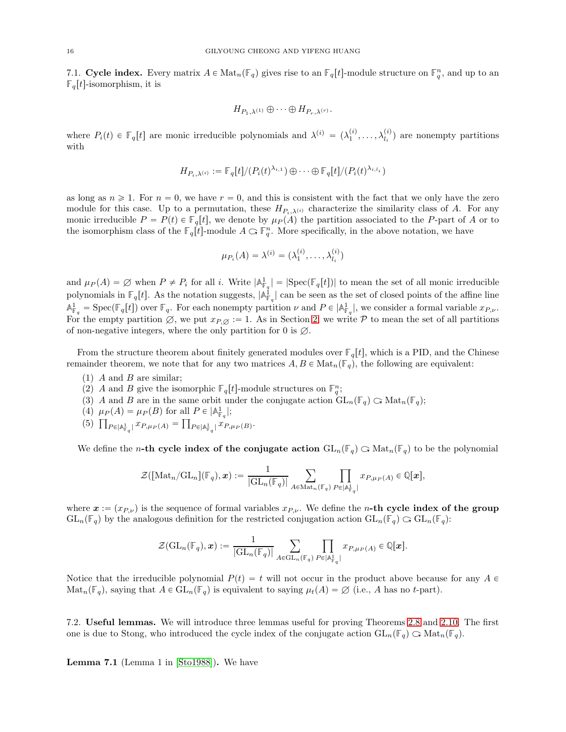7.1. Cycle index. Every matrix  $A \in \text{Mat}_n(\mathbb{F}_q)$  gives rise to an  $\mathbb{F}_q[t]$ -module structure on  $\mathbb{F}_q^n$ , and up to an  $\mathbb{F}_q[t]$ -isomorphism, it is

$$
H_{P_1,\lambda^{(1)}}\oplus\cdots\oplus H_{P_r,\lambda^{(r)}}.
$$

where  $P_i(t) \in \mathbb{F}_q[t]$  are monic irreducible polynomials and  $\lambda^{(i)} = (\lambda_1^{(i)}, \ldots, \lambda_{l_i}^{(i)})$  are nonempty partitions with

$$
H_{P_i,\lambda^{(i)}} := \mathbb{F}_q[t]/(P_i(t)^{\lambda_{i,1}}) \oplus \cdots \oplus \mathbb{F}_q[t]/(P_i(t)^{\lambda_{i,l_i}})
$$

as long as  $n \geq 1$ . For  $n = 0$ , we have  $r = 0$ , and this is consistent with the fact that we only have the zero module for this case. Up to a permutation, these  $H_{P_i,\lambda^{(i)}}$  characterize the similarity class of A. For any monic irreducible  $P = P(t) \in \mathbb{F}_q[t]$ , we denote by  $\mu_P(A)$  the partition associated to the P-part of A or to the isomorphism class of the  $\mathbb{F}_q[t]$ -module  $A \subset \mathbb{F}_q^n$ . More specifically, in the above notation, we have

$$
\mu_{P_i}(A) = \lambda^{(i)} = (\lambda_1^{(i)}, \dots, \lambda_{l_i}^{(i)})
$$

and  $\mu_P(A) = \emptyset$  when  $P \neq P_i$  for all i. Write  $|\mathbb{A}^1_{\mathbb{F}_q}| = |\text{Spec}(\mathbb{F}_q[t])|$  to mean the set of all monic irreducible polynomials in  $\mathbb{F}_q[t]$ . As the notation suggests,  $|\mathbb{A}_{\mathbb{F}_q}^{\mathbb{I}}|$  can be seen as the set of closed points of the affine line  $A_{\mathbb{F}_q}^1 = \text{Spec}(\mathbb{F}_q[t])$  over  $\mathbb{F}_q$ . For each nonempty partition  $\nu$  and  $P \in |\mathbb{A}_{\mathbb{F}_q}^1|$ , we consider a formal variable  $x_{P,\nu}$ . For the empty partition  $\emptyset$ , we put  $x_{P,\emptyset} := 1$ . As in Section [2,](#page-3-0) we write P to mean the set of all partitions of non-negative integers, where the only partition for 0 is  $\emptyset$ .

From the structure theorem about finitely generated modules over  $\mathbb{F}_q[t]$ , which is a PID, and the Chinese remainder theorem, we note that for any two matrices  $A, B \in \text{Mat}_n(\mathbb{F}_q)$ , the following are equivalent:

- $(1)$  A and B are similar;
- (2) A and B give the isomorphic  $\mathbb{F}_q[t]$ -module structures on  $\mathbb{F}_q^n$ ;
- (3) A and B are in the same orbit under the conjugate action  $GL_n(\mathbb{F}_q) \subset \text{Mat}_n(\mathbb{F}_q)$ ;
- (4)  $\mu_P(A) = \mu_P(B)$  for all  $P \in |\mathbb{A}_{\mathbb{F}_q}^1|$ ;
- (5)  $\prod_{P \in |\mathbb{A}_{\mathbb{F}_q}^1|} x_{P,\mu_P(A)} = \prod_{P \in |\mathbb{A}_{\mathbb{F}_q}^1|} x_{P,\mu_P(B)}$

We define the *n*-th cycle index of the conjugate action  $GL_n(\mathbb{F}_q) \subset \text{Mat}_n(\mathbb{F}_q)$  to be the polynomial

$$
\mathcal{Z}([\mathrm{Mat}_n/\mathrm{GL}_n](\mathbb{F}_q),\boldsymbol{x}):=\frac{1}{|\mathrm{GL}_n(\mathbb{F}_q)|}\sum_{A\in\mathrm{Mat}_n(\mathbb{F}_q)}\prod_{P\in\lvert\mathbb{A}^1_{\mathbb{F}_q}\rvert}x_{P,\mu_P(A)}\in\mathbb{Q}[\boldsymbol{x}],
$$

where  $x := (x_{P,\nu})$  is the sequence of formal variables  $x_{P,\nu}$ . We define the n-th cycle index of the group  $GL_n(\mathbb{F}_q)$  by the analogous definition for the restricted conjugation action  $GL_n(\mathbb{F}_q) \subset GL_n(\mathbb{F}_q)$ :

$$
\mathcal{Z}(\mathrm{GL}_n(\mathbb{F}_q),\boldsymbol{x}):=\frac{1}{|\mathrm{GL}_n(\mathbb{F}_q)|}\sum_{A\in \mathrm{GL}_n(\mathbb{F}_q)}\prod_{P\in \lvert \mathbb{A}^1_{\mathbb{F}_q}\rvert}x_{P,\mu_P(A)}\in \mathbb{Q}[\boldsymbol{x}].
$$

Notice that the irreducible polynomial  $P(t) = t$  will not occur in the product above because for any  $A \in$  $\text{Mat}_n(\mathbb{F}_q)$ , saying that  $A \in \text{GL}_n(\mathbb{F}_q)$  is equivalent to saying  $\mu_t(A) = \emptyset$  (i.e., A has no t-part).

7.2. Useful lemmas. We will introduce three lemmas useful for proving Theorems [2.8](#page-6-0) and [2.10.](#page-7-0) The first one is due to Stong, who introduced the cycle index of the conjugate action  $GL_n(\mathbb{F}_q) \subset \text{Mat}_n(\mathbb{F}_q)$ .

<span id="page-15-0"></span>Lemma 7.1 (Lemma 1 in [\[Sto1988\]](#page-22-14)). We have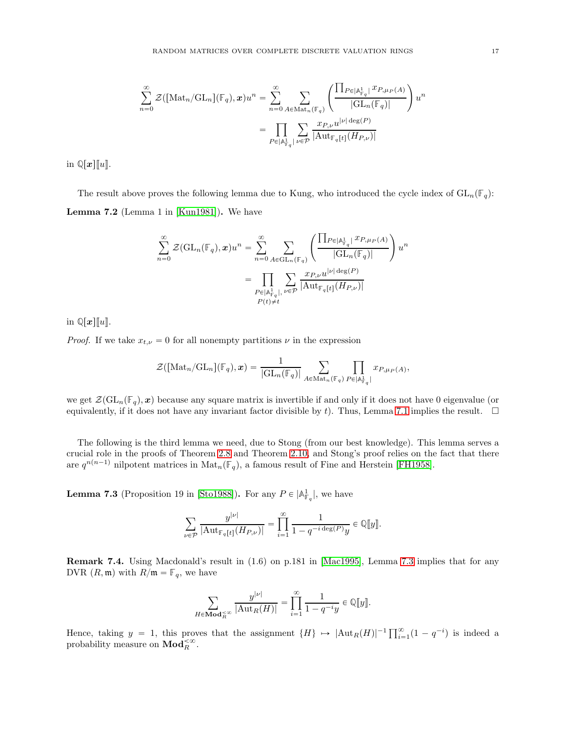$$
\sum_{n=0}^{\infty} \mathcal{Z}([\text{Mat}_n/\text{GL}_n](\mathbb{F}_q), x) u^n = \sum_{n=0}^{\infty} \sum_{A \in \text{Mat}_n(\mathbb{F}_q)} \left( \frac{\prod_{P \in |\mathbb{A}_{\mathbb{F}_q}^1} x_{P, \mu_P(A)}}{|\text{GL}_n(\mathbb{F}_q)|} \right) u^n
$$

$$
= \prod_{P \in |\mathbb{A}_{\mathbb{F}_q}^1} \sum_{v \in \mathcal{P}} \frac{x_{P, v} u^{|v| \deg(P)}}{|\text{Aut}_{\mathbb{F}_q[t]}(H_{P, v})|}
$$

in  $\mathbb{Q}[x][u]$ .

<span id="page-16-2"></span>The result above proves the following lemma due to Kung, who introduced the cycle index of  $GL_n(\mathbb{F}_q)$ : Lemma 7.2 (Lemma 1 in [\[Kun1981\]](#page-22-15)). We have

$$
\sum_{n=0}^{\infty} \mathcal{Z}(\mathrm{GL}_n(\mathbb{F}_q), \mathbf{x}) u^n = \sum_{n=0}^{\infty} \sum_{A \in \mathrm{GL}_n(\mathbb{F}_q)} \left( \frac{\prod_{P \in |\mathbb{A}_{\mathbb{F}_q}^1|} x_{P, \mu_P(A)}}{|\mathrm{GL}_n(\mathbb{F}_q)|} \right) u^n
$$

$$
= \prod_{\substack{P \in |\mathbb{A}_{\mathbb{F}_q}^1|, \\ P(t) \neq t}} \sum_{\nu \in \mathcal{P}} \frac{x_{P, \nu} u^{|\nu| \deg(P)}}{|\mathrm{Aut}_{\mathbb{F}_q[t]}(H_{P, \nu)}|}
$$

in  $\mathbb{Q}[x][\![u]\!]$ .

*Proof.* If we take  $x_{t,\nu} = 0$  for all nonempty partitions  $\nu$  in the expression

$$
\mathcal{Z}([\text{Mat}_n/\text{GL}_n](\mathbb{F}_q),\boldsymbol{x})=\frac{1}{|\text{GL}_n(\mathbb{F}_q)|}\sum_{A\in\text{Mat}_n(\mathbb{F}_q)}\prod_{P\in\vert\mathbb{A}_{\mathbb{F}_q}^1\vert}x_{P,\mu_P(A)},
$$

we get  $\mathcal{Z}(\mathrm{GL}_n(\mathbb{F}_q), x)$  because any square matrix is invertible if and only if it does not have 0 eigenvalue (or equivalently, if it does not have any invariant factor divisible by t). Thus, Lemma [7.1](#page-15-0) implies the result.  $\Box$ 

The following is the third lemma we need, due to Stong (from our best knowledge). This lemma serves a crucial role in the proofs of Theorem [2.8](#page-6-0) and Theorem [2.10,](#page-7-0) and Stong's proof relies on the fact that there are  $q^{n(n-1)}$  nilpotent matrices in  $\text{Mat}_n(\mathbb{F}_q)$ , a famous result of Fine and Herstein [\[FH1958\]](#page-22-16).

<span id="page-16-1"></span>**Lemma 7.3** (Proposition 19 in [\[Sto1988\]](#page-22-14)). For any  $P \in |A_{\mathbb{F}_q}^1|$ , we have

$$
\sum_{\nu\in\mathcal{P}}\frac{y^{|\nu|}}{|\mathrm{Aut}_{\mathbb{F}_q[t]}(H_{P,\nu})|}=\prod_{i=1}^\infty\frac{1}{1-q^{-i\deg(P)}y}\in\mathbb{Q}[\![y]\!].
$$

<span id="page-16-0"></span>Remark 7.4. Using Macdonald's result in (1.6) on p.181 in [\[Mac1995\]](#page-22-6), Lemma [7.3](#page-16-1) implies that for any DVR  $(R, \mathfrak{m})$  with  $R/\mathfrak{m} = \mathbb{F}_q$ , we have

$$
\sum_{H \in \mathbf{Mod}_R^{\prec \infty}} \frac{y^{|\nu|}}{|\mathrm{Aut}_R(H)|} = \prod_{i=1}^{\infty} \frac{1}{1 - q^{-i}y} \in \mathbb{Q}[\![y]\!].
$$

Hence, taking  $y = 1$ , this proves that the assignment  $\{H\} \mapsto |\text{Aut}_R(H)|^{-1} \prod_{i=1}^{\infty} (1 - q^{-i})$  is indeed a probability measure on  $\mathbf{Mod}_{R}^{<\infty}$ .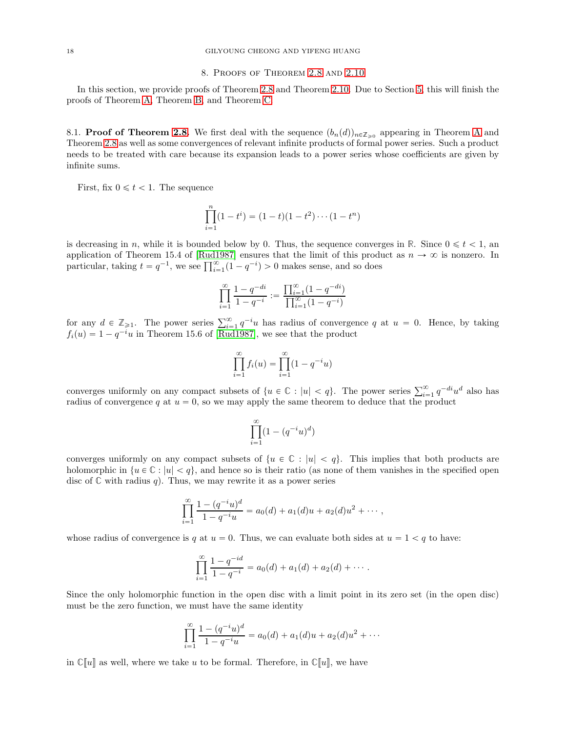# 8. Proofs of Theorem [2.8](#page-6-0) and [2.10](#page-7-0)

In this section, we provide proofs of Theorem [2.8](#page-6-0) and Theorem [2.10.](#page-7-0) Due to Section [5,](#page-11-2) this will finish the proofs of Theorem [A,](#page-4-1) Theorem [B,](#page-5-2) and Theorem [C.](#page-5-0)

<span id="page-17-0"></span>8.1. **Proof of Theorem [2.8.](#page-6-0)** We first deal with the sequence  $(b_n(d))_{n\in\mathbb{Z}_{\geq0}}$  appearing in Theorem [A](#page-4-1) and Theorem [2.8](#page-6-0) as well as some convergences of relevant infinite products of formal power series. Such a product needs to be treated with care because its expansion leads to a power series whose coefficients are given by infinite sums.

First, fix  $0 \leq t < 1$ . The sequence

$$
\prod_{i=1}^{n} (1 - t^{i}) = (1 - t)(1 - t^{2}) \cdots (1 - t^{n})
$$

is decreasing in n, while it is bounded below by 0. Thus, the sequence converges in  $\mathbb{R}$ . Since  $0 \leq t < 1$ , an application of Theorem 15.4 of [\[Rud1987\]](#page-22-17) ensures that the limit of this product as  $n \to \infty$  is nonzero. In particular, taking  $t = q^{-1}$ , we see  $\prod_{i=1}^{\infty} (1 - q^{-i}) > 0$  makes sense, and so does

$$
\prod_{i=1}^{\infty} \frac{1-q^{-di}}{1-q^{-i}} := \frac{\prod_{i=1}^{\infty} (1-q^{-di})}{\prod_{i=1}^{\infty} (1-q^{-i})}
$$

for any  $d \in \mathbb{Z}_{\geqslant 1}$ . The power series  $\sum_{i=1}^{\infty} q^{-i}u$  has radius of convergence q at  $u = 0$ . Hence, by taking  $f_i(u) = 1 - q^{-i}u$  in Theorem 15.6 of [\[Rud1987\]](#page-22-17), we see that the product

$$
\prod_{i=1}^{\infty} f_i(u) = \prod_{i=1}^{\infty} (1 - q^{-i}u)
$$

converges uniformly on any compact subsets of  $\{u \in \mathbb{C} : |u| < q\}$ . The power series  $\sum_{i=1}^{\infty} q^{-di} u^d$  also has radius of convergence q at  $u = 0$ , so we may apply the same theorem to deduce that the product

$$
\prod_{i=1}^{\infty} (1 - (q^{-i}u)^d)
$$

converges uniformly on any compact subsets of  $\{u \in \mathbb{C} : |u| < q\}$ . This implies that both products are holomorphic in  $\{u \in \mathbb{C} : |u| < q\}$ , and hence so is their ratio (as none of them vanishes in the specified open disc of  $\mathbb C$  with radius q. Thus, we may rewrite it as a power series

$$
\prod_{i=1}^{\infty} \frac{1 - (q^{-i}u)^d}{1 - q^{-i}u} = a_0(d) + a_1(d)u + a_2(d)u^2 + \cdots,
$$

whose radius of convergence is q at  $u = 0$ . Thus, we can evaluate both sides at  $u = 1 < q$  to have:

$$
\prod_{i=1}^{\infty} \frac{1-q^{-id}}{1-q^{-i}} = a_0(d) + a_1(d) + a_2(d) + \cdots
$$

Since the only holomorphic function in the open disc with a limit point in its zero set (in the open disc) must be the zero function, we must have the same identity

$$
\prod_{i=1}^{\infty} \frac{1 - (q^{-i}u)^d}{1 - q^{-i}u} = a_0(d) + a_1(d)u + a_2(d)u^2 + \cdots
$$

in  $\mathbb{C}[u]$  as well, where we take u to be formal. Therefore, in  $\mathbb{C}[u]$ , we have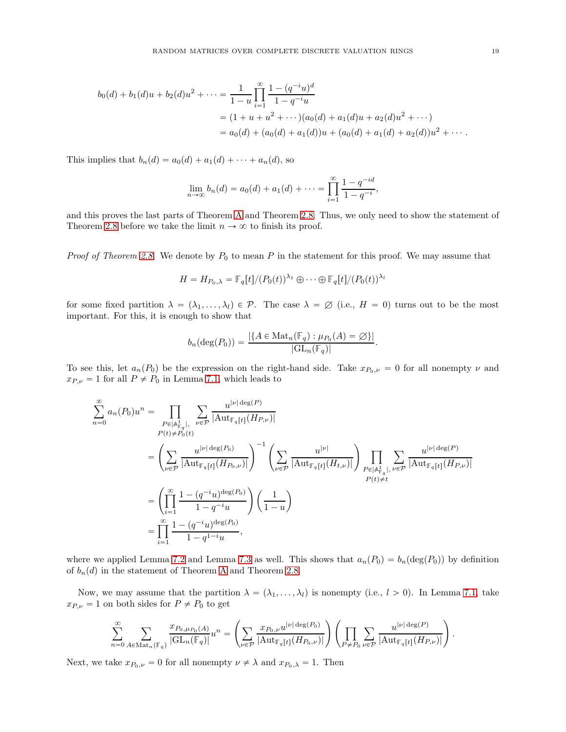$$
b_0(d) + b_1(d)u + b_2(d)u^2 + \dots = \frac{1}{1-u} \prod_{i=1}^{\infty} \frac{1 - (q^{-i}u)^d}{1 - q^{-i}u}
$$
  
=  $(1 + u + u^2 + \dots)(a_0(d) + a_1(d)u + a_2(d)u^2 + \dots)$   
=  $a_0(d) + (a_0(d) + a_1(d))u + (a_0(d) + a_1(d) + a_2(d))u^2 + \dots$ 

This implies that  $b_n(d) = a_0(d) + a_1(d) + \cdots + a_n(d)$ , so

$$
\lim_{n \to \infty} b_n(d) = a_0(d) + a_1(d) + \dots = \prod_{i=1}^{\infty} \frac{1 - q^{-id}}{1 - q^{-i}},
$$

and this proves the last parts of Theorem [A](#page-4-1) and Theorem [2.8.](#page-6-0) Thus, we only need to show the statement of Theorem [2.8](#page-6-0) before we take the limit  $n \to \infty$  to finish its proof.

*Proof of Theorem [2.8.](#page-6-0)* We denote by  $P_0$  to mean P in the statement for this proof. We may assume that

$$
H = H_{P_0,\lambda} = \mathbb{F}_q[t]/(P_0(t))^{\lambda_1} \oplus \cdots \oplus \mathbb{F}_q[t]/(P_0(t))^{\lambda_t}
$$

for some fixed partition  $\lambda = (\lambda_1, \dots, \lambda_l) \in \mathcal{P}$ . The case  $\lambda = \emptyset$  (i.e.,  $H = 0$ ) turns out to be the most important. For this, it is enough to show that

$$
b_n(\deg(P_0)) = \frac{|\{A \in \mathrm{Mat}_n(\mathbb{F}_q) : \mu_{P_0}(A) = \varnothing\}|}{|\mathrm{GL}_n(\mathbb{F}_q)|}.
$$

To see this, let  $a_n(P_0)$  be the expression on the right-hand side. Take  $x_{P_0,\nu} = 0$  for all nonempty  $\nu$  and  $x_{P,\nu} = 1$  for all  $P \neq P_0$  in Lemma [7.1,](#page-15-0) which leads to

$$
\sum_{n=0}^{\infty} a_n(P_0)u^n = \prod_{\substack{P \in |\mathbb{A}_{\mathbb{F}_q}^{\mathbb{L}}|, \\ P(t) \neq P_0(t)}} \sum_{\substack{\nu \in \mathcal{P} \\ \nu \in \mathcal{P}}} \frac{u^{|\nu| \deg(P)}}{|\mathrm{Aut}_{\mathbb{F}_q[t]}(H_{P_0,\nu)}|} \Bigg)^{-1} \left( \sum_{\nu \in \mathcal{P}} \frac{u^{|\nu|}}{|\mathrm{Aut}_{\mathbb{F}_q[t]}(H_{t,\nu})|} \right) \prod_{\substack{P \in |\mathbb{A}_{\mathbb{F}_q}^{\mathbb{L}}|, \\ P(t) \neq t}} \sum_{\substack{|\nu| \deg(P) \\ P(t) \neq t}} \frac{u^{|\nu| \deg(P)}}{|\mathrm{Aut}_{\mathbb{F}_q[t]}(H_{P_0,\nu)}|} \Bigg)^{-1} \left( \sum_{\nu \in \mathcal{P}} \frac{u^{|\nu|}}{|\mathrm{Aut}_{\mathbb{F}_q[t]}(H_{t,\nu})|} \right) \prod_{\substack{P \in |\mathbb{A}_{\mathbb{F}_q}^{\mathbb{L}}|, \\ P(t) \neq t}} \sum_{\substack{|\nu| \deg(P) \\ P(t) \neq t}} \frac{u^{|\nu| \deg(P)}}{|\mathrm{Aut}_{\mathbb{F}_q[t]}(H_{P,\nu})|} \Bigg)^{-1} \left( \frac{1}{1-u} \right)^{\nu \deg(P_0)} \Bigg)^{-1} \prod_{\substack{P \in |\mathbb{A}_{\mathbb{F}_q}^{\mathbb{L}}|, \\ P(t) \neq t}} \frac{u^{|\nu| \deg(P)}}{|\mathrm{Aut}_{\mathbb{F}_q[t]}(H_{P,\nu})|} \Bigg)^{-1} \prod_{\substack{P \in |\mathbb{A}_{\mathbb{F}_q}^{\mathbb{L}}|, \\ P(t) \neq t}} \frac{u^{|\nu| \deg(P)}}{|\mathrm{Aut}_{\mathbb{F}_q[t]}(H_{P,\nu})|} \Bigg)^{-1} \prod_{\substack{P \in |\mathbb{A}_{\mathbb{F}_q}^{\mathbb{L}}|, \\ P(t) \neq t}} \frac{u^{|\nu| \deg(P)}}{|\mathrm{Aut}_{\mathbb{F}_q[t]}(H_{P,\nu})|} \Bigg)^{-1} \prod_{\substack{P \in |\mathbb{A}_{
$$

where we applied Lemma [7.2](#page-16-2) and Lemma [7.3](#page-16-1) as well. This shows that  $a_n(P_0) = b_n(\text{deg}(P_0))$  by definition of  $b_n(d)$  in the statement of Theorem [A](#page-4-1) and Theorem [2.8.](#page-6-0)

Now, we may assume that the partition  $\lambda = (\lambda_1, \ldots, \lambda_l)$  is nonempty (i.e.,  $l > 0$ ). In Lemma [7.1,](#page-15-0) take  $x_{P,\nu} = 1$  on both sides for  $P \neq P_0$  to get

$$
\sum_{n=0}^{\infty} \sum_{A \in \text{Mat}_n(\mathbb{F}_q)} \frac{x_{P_0, \mu_{P_0}(A)}}{|\text{GL}_n(\mathbb{F}_q)|} u^n = \left( \sum_{\nu \in \mathcal{P}} \frac{x_{P_0, \nu} u^{|\nu| \deg(P_0)}}{|\text{Aut}_{\mathbb{F}_q[t]}(H_{P_0, \nu)}|} \right) \left( \prod_{P \neq P_0} \sum_{\nu \in \mathcal{P}} \frac{u^{|\nu| \deg(P)}}{|\text{Aut}_{\mathbb{F}_q[t]}(H_{P, \nu)}|} \right).
$$

Next, we take  $x_{P_0,\nu} = 0$  for all nonempty  $\nu \neq \lambda$  and  $x_{P_0,\lambda} = 1$ . Then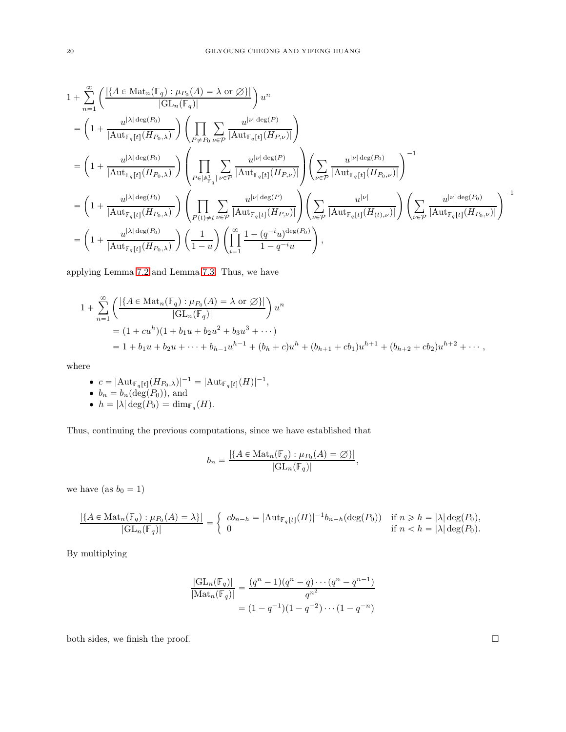$$
\begin{split} &1+\sum_{n=1}^{\infty}\left(\frac{|\{A\in\operatorname{Mat}_n(\mathbb{F}_q):\mu_{P_0}(A)=\lambda\;\text{or}\;\!\oslash\rangle|}{|\operatorname{GL}_n(\mathbb{F}_q)|}\right)u^n\\ &=\left(1+\frac{u^{|\lambda|\deg(P_0)}}{|\operatorname{Aut}_{\mathbb{F}_q[t]}(H_{P_0,\lambda)}|}\right)\left(\prod_{P\neq P_0}\sum_{\nu\in\mathcal{P}}\frac{u^{|\nu|\deg(P)}}{|\operatorname{Aut}_{\mathbb{F}_q[t]}(H_{P,\nu})|}\right)\\ &=\left(1+\frac{u^{|\lambda|\deg(P_0)}}{|\operatorname{Aut}_{\mathbb{F}_q[t]}(H_{P_0,\lambda)}|}\right)\left(\prod_{P\in\left|\mathbb{A}^1_{\mathbb{F}_q}\right|}\sum_{\nu\in\mathcal{P}}\frac{u^{|\nu|\deg(P)}}{|\operatorname{Aut}_{\mathbb{F}_q[t]}(H_{P,\nu})|}\right)\left(\sum_{\nu\in\mathcal{P}}\frac{u^{|\nu|\deg(P_0)}}{|\operatorname{Aut}_{\mathbb{F}_q[t]}(H_{P_0,\nu)}|}\right)^{-1}\\ &=\left(1+\frac{u^{|\lambda|\deg(P_0)}}{|\operatorname{Aut}_{\mathbb{F}_q[t]}(H_{P_0,\lambda)}|}\right)\left(\prod_{P\in\left|\neq t\right|}\sum_{\nu\in\mathcal{P}}\frac{u^{|\nu|\deg(P)}}{|\operatorname{Aut}_{\mathbb{F}_q[t]}(H_{P,\nu})|}\right)\left(\sum_{\nu\in\mathcal{P}}\frac{u^{|\nu|}}{|\operatorname{Aut}_{\mathbb{F}_q[t]}(H_{(t),\nu)}|}\right)\left(\sum_{\nu\in\mathcal{P}}\frac{u^{|\nu|\deg(P_0)}}{|\operatorname{Aut}_{\mathbb{F}_q[t]}(H_{P_0,\nu)}|}\right)^{-1}\\ &=\left(1+\frac{u^{|\lambda|\deg(P_0)}}{|\operatorname{Aut}_{\mathbb{F}_q[t]}(H_{P_0,\lambda)}|}\right)\left(\frac{1}{1-u}\right)\left(\prod_{i=1}^{\infty}\frac{1-(q^{-i}u)^{\deg(P_0)}}{1-q^{-i}u}\right), \end{split}
$$

applying Lemma [7.2](#page-16-2) and Lemma [7.3.](#page-16-1) Thus, we have

$$
1 + \sum_{n=1}^{\infty} \left( \frac{|\{A \in \text{Mat}_n(\mathbb{F}_q) : \mu_{P_0}(A) = \lambda \text{ or } \emptyset\}|}{|\mathrm{GL}_n(\mathbb{F}_q)|} \right) u^n
$$
  
=  $(1 + cu^h)(1 + b_1u + b_2u^2 + b_3u^3 + \cdots)$   
=  $1 + b_1u + b_2u + \cdots + b_{h-1}u^{h-1} + (b_h + c)u^h + (b_{h+1} + cb_1)u^{h+1} + (b_{h+2} + cb_2)u^{h+2} + \cdots,$ 

where

\n- $$
c = |\text{Aut}_{\mathbb{F}_q[t]}(H_{P_0,\lambda})|^{-1} = |\text{Aut}_{\mathbb{F}_q[t]}(H)|^{-1},
$$
\n- $b_n = b_n(\text{deg}(P_0)),$  and
\n- $h = |\lambda| \text{deg}(P_0) = \dim_{\mathbb{F}_q}(H).$
\n

Thus, continuing the previous computations, since we have established that

$$
b_n = \frac{|\{A \in \text{Mat}_n(\mathbb{F}_q) : \mu_{P_0}(A) = \varnothing\}|}{|\text{GL}_n(\mathbb{F}_q)|},
$$

we have (as  $b_0 = 1$ )

$$
\frac{|\{A \in \text{Mat}_n(\mathbb{F}_q) : \mu_{P_0}(A) = \lambda\}|}{|\text{GL}_n(\mathbb{F}_q)|} = \begin{cases} cb_{n-h} = |\text{Aut}_{\mathbb{F}_q[t]}(H)|^{-1}b_{n-h}(\text{deg}(P_0)) & \text{if } n \ge h = |\lambda| \text{deg}(P_0), \\ 0 & \text{if } n < h = |\lambda| \text{deg}(P_0). \end{cases}
$$

By multiplying

$$
\frac{|\mathrm{GL}_n(\mathbb{F}_q)|}{|\mathrm{Mat}_n(\mathbb{F}_q)|} = \frac{(q^n - 1)(q^n - q) \cdots (q^n - q^{n-1})}{q^{n^2}}
$$

$$
= (1 - q^{-1})(1 - q^{-2}) \cdots (1 - q^{-n})
$$

both sides, we finish the proof.  $\Box$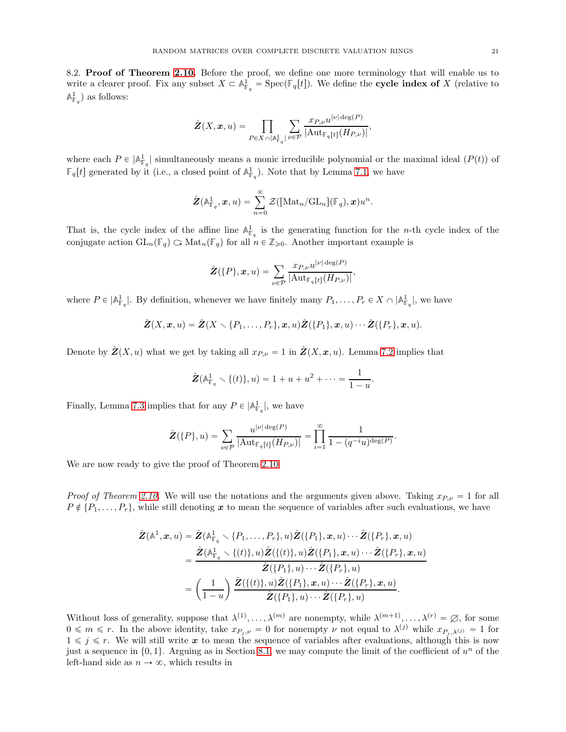8.2. Proof of Theorem [2.10.](#page-7-0) Before the proof, we define one more terminology that will enable us to write a clearer proof. Fix any subset  $X \subset \mathbb{A}^1_{\mathbb{F}_q} = \text{Spec}(\mathbb{F}_q[t])$ . We define the **cycle index of** X (relative to  $\mathbb{A}^1_{\mathbb{F}_q}$  as follows:

$$
\hat{\pmb{Z}}(X,\pmb{x},u)=\prod_{P\in X\,\cap\,|\mathbb{A}^1_{\mathbb{F}_q}|}\sum_{\nu\in\mathcal{P}}\frac{x_{P,\nu}u^{|\nu|\deg(P)}}{|\mathrm{Aut}_{\mathbb{F}_q[t]}(H_{P,\nu})|},
$$

where each  $P \in |A_{\mathbb{F}_q}^1|$  simultaneously means a monic irreducible polynomial or the maximal ideal  $(P(t))$  of  $\mathbb{F}_q[t]$  generated by it (i.e., a closed point of  $\mathbb{A}_{\mathbb{F}_q}^1$ ). Note that by Lemma [7.1,](#page-15-0) we have

$$
\hat{\pmb{Z}}(\mathbb{A}^1_{\mathbb{F}_q},\pmb{x},u)=\sum_{n=0}^\infty \mathcal{Z}([\text{Mat}_n/\text{GL}_n](\mathbb{F}_q),\pmb{x})u^n.
$$

That is, the cycle index of the affine line  $\mathbb{A}^1_{\mathbb{F}_q}$  is the generating function for the *n*-th cycle index of the conjugate action  $GL_n(\mathbb{F}_q) \subset \mathrm{Mat}_n(\mathbb{F}_q)$  for all  $n \in \mathbb{Z}_{\geq 0}$ . Another important example is

$$
\hat{\mathbf{Z}}(\{P\},\boldsymbol{x},u)=\sum_{\nu\in\mathcal{P}}\frac{x_{P,\nu}u^{|\nu|\deg(P)}}{|\mathrm{Aut}_{\mathbb{F}_q[t]}(H_{P,\nu})|},
$$

where  $P \in |\mathbb{A}_{\mathbb{F}_q}^1|$ . By definition, whenever we have finitely many  $P_1, \ldots, P_r \in X \cap |\mathbb{A}_{\mathbb{F}_q}^1|$ , we have

$$
\hat{\mathbf{Z}}(X,\boldsymbol{x},u)=\hat{\mathbf{Z}}(X\setminus\{P_1,\ldots,P_r\},\boldsymbol{x},u)\hat{\mathbf{Z}}(\{P_1\},\boldsymbol{x},u)\cdots\hat{\mathbf{Z}}(\{P_r\},\boldsymbol{x},u).
$$

Denote by  $\hat{\mathbf{Z}}(X, u)$  what we get by taking all  $x_{P, \nu} = 1$  in  $\hat{\mathbf{Z}}(X, x, u)$ . Lemma [7.2](#page-16-2) implies that

$$
\hat{\mathbf{Z}}(\mathbb{A}_{\mathbb{F}_q}^1 \setminus \{(t)\}, u) = 1 + u + u^2 + \dots = \frac{1}{1 - u}.
$$

Finally, Lemma [7.3](#page-16-1) implies that for any  $P \in |A_{\mathbb{F}_q}^1|$ , we have

$$
\hat{\pmb{Z}}(\{P\},u)=\sum_{\nu\in\mathcal{P}}\frac{u^{|\nu|\deg(P)}}{|\mathrm{Aut}_{\mathbb{F}_q[t]}(H_{P,\nu})|}=\prod_{i=1}^{\infty}\frac{1}{1-(q^{-i}u)^{\deg(P)}}.
$$

We are now ready to give the proof of Theorem [2.10.](#page-7-0)

*Proof of Theorem [2.10.](#page-7-0)* We will use the notations and the arguments given above. Taking  $x_{P,\nu} = 1$  for all  $P \notin \{P_1, \ldots, P_r\}$ , while still denoting x to mean the sequence of variables after such evaluations, we have

$$
\hat{\mathbf{Z}}(\mathbb{A}^1,\mathbf{x},u)=\hat{\mathbf{Z}}(\mathbb{A}^1_{\mathbb{F}_q}\setminus\{P_1,\ldots,P_r\},u)\hat{\mathbf{Z}}(\{P_1\},\mathbf{x},u)\cdots\hat{\mathbf{Z}}(\{P_r\},\mathbf{x},u) \n=\frac{\hat{\mathbf{Z}}(\mathbb{A}^1_{\mathbb{F}_q}\setminus\{(t)\},u)\hat{\mathbf{Z}}(\{(t)\},u)\hat{\mathbf{Z}}(\{P_1\},\mathbf{x},u)\cdots\hat{\mathbf{Z}}(\{P_r\},\mathbf{x},u)}{\hat{\mathbf{Z}}(\{P_1\},u)\cdots\hat{\mathbf{Z}}(\{P_r\},u)} \n=\left(\frac{1}{1-u}\right)\frac{\hat{\mathbf{Z}}(\{(t)\},u)\hat{\mathbf{Z}}(\{P_1\},\mathbf{x},u)\cdots\hat{\mathbf{Z}}(\{P_r\},\mathbf{x},u)}{\hat{\mathbf{Z}}(\{P_1\},u)\cdots\hat{\mathbf{Z}}(\{P_r\},u)}.
$$

Without loss of generality, suppose that  $\lambda^{(1)}, \ldots, \lambda^{(m)}$  are nonempty, while  $\lambda^{(m+1)}, \ldots, \lambda^{(r)} \in \emptyset$ , for some  $0 \leq m \leq r$ . In the above identity, take  $x_{P_j,\nu} = 0$  for nonempty  $\nu$  not equal to  $\lambda^{(j)}$  while  $x_{P_j,\lambda^{(j)}} = 1$  for  $1 \leq j \leq r$ . We will still write x to mean the sequence of variables after evaluations, although this is now just a sequence in  $\{0, 1\}$ . Arguing as in Section [8.1,](#page-17-0) we may compute the limit of the coefficient of  $u^n$  of the left-hand side as  $n \to \infty$ , which results in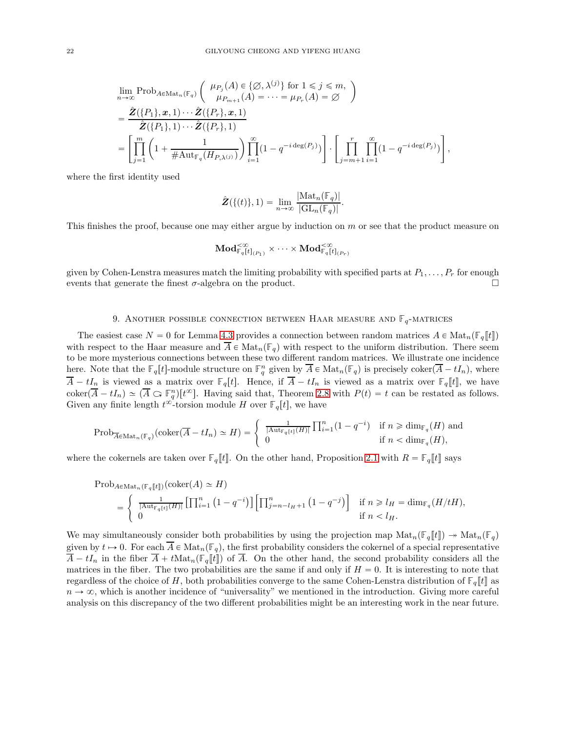$$
\lim_{n\to\infty} \text{Prob}_{A\in\text{Mat}_n(\mathbb{F}_q)}\left(\begin{array}{c} \mu_{P_j}(A) \in \{\varnothing, \lambda^{(j)}\} \text{ for } 1 \leq j \leq m, \\ \mu_{P_{m+1}}(A) = \cdots = \mu_{P_r}(A) = \varnothing \end{array}\right)
$$
\n
$$
= \frac{\hat{\mathbf{Z}}(\{P_1\}, \mathbf{x}, 1) \cdots \hat{\mathbf{Z}}(\{P_r\}, \mathbf{x}, 1)}{\hat{\mathbf{Z}}(\{P_1\}, 1) \cdots \hat{\mathbf{Z}}(\{P_r\}, 1)} = \left[\prod_{j=1}^m \left(1 + \frac{1}{\#\text{Aut}_{\mathbb{F}_q}(H_{P,\lambda^{(j)}})}\right) \prod_{i=1}^\infty (1 - q^{-i \deg(P_j)})\right] \cdot \left[\prod_{j=m+1}^r \prod_{i=1}^\infty (1 - q^{-i \deg(P_j)})\right],
$$

where the first identity used

$$
\hat{\mathbf{Z}}(\{(t)\},1) = \lim_{n \to \infty} \frac{|\text{Mat}_n(\mathbb{F}_q)|}{|\text{GL}_n(\mathbb{F}_q)|}.
$$

This finishes the proof, because one may either argue by induction on  $m$  or see that the product measure on

$$
\mathbf{Mod}^{< \infty}_{\mathbb{F}_q[t]_{(P_1)}} \times \cdots \times \mathbf{Mod}^{< \infty}_{\mathbb{F}_q[t]_{(P_r)}}
$$

given by Cohen-Lenstra measures match the limiting probability with specified parts at  $P_1, \ldots, P_r$  for enough events that generate the finest  $\sigma$ -algebra on the product.

# 9. ANOTHER POSSIBLE CONNECTION BETWEEN HAAR MEASURE AND  $\mathbb{F}_q$ -MATRICES

The easiest case  $N = 0$  for Lemma [4.3](#page-10-0) provides a connection between random matrices  $A \in Mat_n(\mathbb{F}_q[\![t]\!])$ with respect to the Haar measure and  $\overline{A} \in \text{Mat}_n(\mathbb{F}_q)$  with respect to the uniform distribution. There seem to be more mysterious connections between these two different random matrices. We illustrate one incidence here. Note that the  $\mathbb{F}_q[t]$ -module structure on  $\mathbb{F}_q^n$  given by  $\overline{A} \in \text{Mat}_n(\mathbb{F}_q)$  is precisely coker $(\overline{A} - tI_n)$ , where  $\overline{A} - tI_n$  is viewed as a matrix over  $\mathbb{F}_q[t]$ . Hence, if  $\overline{A} - tI_n$  is viewed as a matrix over  $\mathbb{F}_q[t]$ , we have  $\text{coker}(\overline{A} - tI_n) \simeq (\overline{A} \subset \mathbb{F}_q^n)[t^\infty]$ . Having said that, Theorem [2.8](#page-6-0) with  $P(t) = t$  can be restated as follows. Given any finite length  $t^{\infty}$ -torsion module H over  $\mathbb{F}_q[t]$ , we have

$$
\mathrm{Prob}_{\overline{A}\in\mathrm{Mat}_n(\mathbb{F}_q)}(\mathrm{coker}(\overline{A}-tI_n)\simeq H)=\begin{cases} \frac{1}{|\mathrm{Aut}_{\mathbb{F}_q[t]}(H)|}\prod_{i=1}^n(1-q^{-i}) & \text{if } n\geqslant \mathrm{dim}_{\mathbb{F}_q}(H) \text{ and} \\ 0 & \text{if } n<\mathrm{dim}_{\mathbb{F}_q}(H), \end{cases}
$$

where the cokernels are taken over  $\mathbb{F}_q[t]$ . On the other hand, Proposition [2.1](#page-3-1) with  $R = \mathbb{F}_q[t]$  says

$$
\begin{split} \text{Prob}_{A \in \text{Mat}_{n}(\mathbb{F}_{q}[t])}(\text{coker}(A) &\simeq H) \\ &= \left\{ \begin{array}{l} \frac{1}{|\text{Aut}_{\mathbb{F}_{q}[t]}(H)|} \left[ \prod_{i=1}^{n} \left( 1 - q^{-i} \right) \right] \left[ \prod_{j=n-l_H+1}^{n} \left( 1 - q^{-j} \right) \right] & \text{if } n \geq l_H = \dim_{\mathbb{F}_{q}}(H/tH), \\ 0 & \text{if } n < l_H. \end{array} \right. \end{split}
$$

We may simultaneously consider both probabilities by using the projection map  $\text{Mat}_n(\mathbb{F}_q[t]) \to \text{Mat}_n(\mathbb{F}_q)$ given by  $t \mapsto 0$ . For each  $\overline{A} \in \text{Mat}_n(\mathbb{F}_q)$ , the first probability considers the cokernel of a special representative  $\overline{A} - tI_n$  in the fiber  $\overline{A} + t\text{Mat}_n(\mathbb{F}_q[\![t]\!])$  of  $\overline{A}$ . On the other hand, the second probability considers all the matrices in the fiber. The two probabilities are the same if and only if  $H = 0$ . It is interesting to note that regardless of the choice of H, both probabilities converge to the same Cohen-Lenstra distribution of  $\mathbb{F}_q[t]$  as  $n \to \infty$ , which is another incidence of "universality" we mentioned in the introduction. Giving more careful analysis on this discrepancy of the two different probabilities might be an interesting work in the near future.